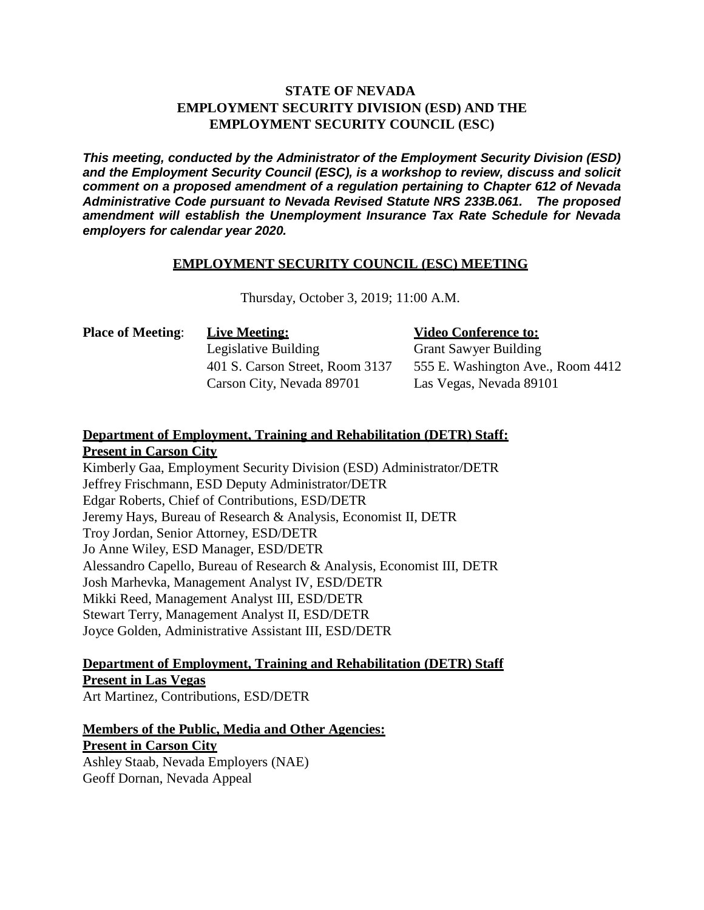## **STATE OF NEVADA EMPLOYMENT SECURITY DIVISION (ESD) AND THE EMPLOYMENT SECURITY COUNCIL (ESC)**

*This meeting, conducted by the Administrator of the Employment Security Division (ESD) and the Employment Security Council (ESC), is a workshop to review, discuss and solicit comment on a proposed amendment of a regulation pertaining to Chapter 612 of Nevada Administrative Code pursuant to Nevada Revised Statute NRS 233B.061. The proposed amendment will establish the Unemployment Insurance Tax Rate Schedule for Nevada employers for calendar year 2020.*

#### **EMPLOYMENT SECURITY COUNCIL (ESC) MEETING**

Thursday, October 3, 2019; 11:00 A.M.

| <b>Place of Meeting:</b> | <b>Live Meeting:</b>            |
|--------------------------|---------------------------------|
|                          | Legislative Building            |
|                          | 401 S. Carson Street, Room 3137 |
|                          | Carson City, Nevada 89701       |

#### **Video Conference to:**

Grant Sawyer Building 555 E. Washington Ave., Room 4412 Las Vegas, Nevada 89101

#### **Department of Employment, Training and Rehabilitation (DETR) Staff: Present in Carson City**

Kimberly Gaa, Employment Security Division (ESD) Administrator/DETR Jeffrey Frischmann, ESD Deputy Administrator/DETR Edgar Roberts, Chief of Contributions, ESD/DETR Jeremy Hays, Bureau of Research & Analysis, Economist II, DETR Troy Jordan, Senior Attorney, ESD/DETR Jo Anne Wiley, ESD Manager, ESD/DETR Alessandro Capello, Bureau of Research & Analysis, Economist III, DETR Josh Marhevka, Management Analyst IV, ESD/DETR Mikki Reed, Management Analyst III, ESD/DETR Stewart Terry, Management Analyst II, ESD/DETR Joyce Golden, Administrative Assistant III, ESD/DETR

### **Department of Employment, Training and Rehabilitation (DETR) Staff Present in Las Vegas**

Art Martinez, Contributions, ESD/DETR

### **Members of the Public, Media and Other Agencies: Present in Carson City**

Ashley Staab, Nevada Employers (NAE) Geoff Dornan, Nevada Appeal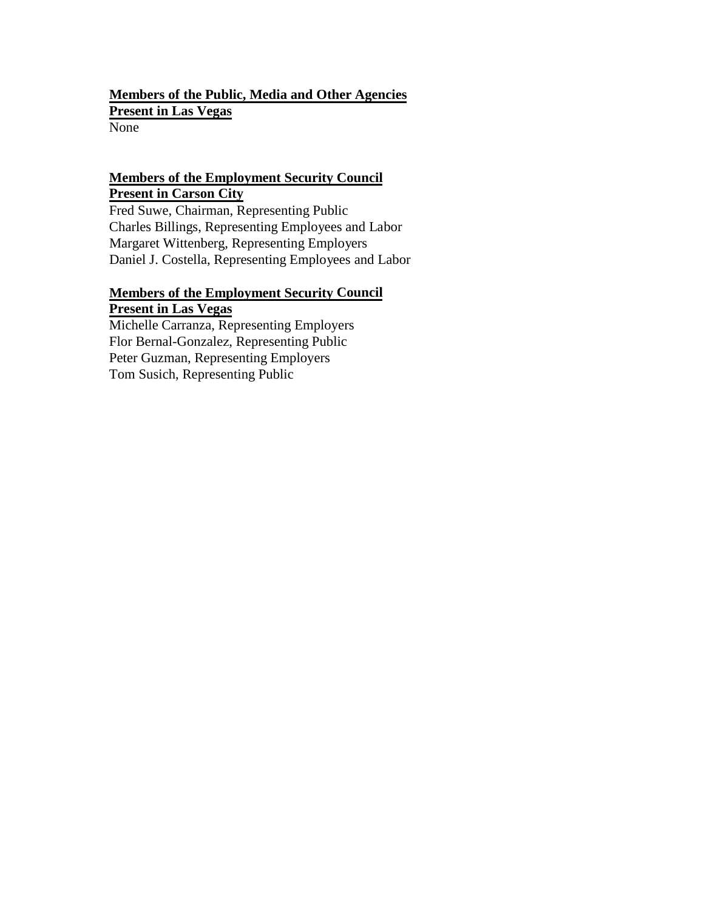## **Members of the Public, Media and Other Agencies Present in Las Vegas** None

# **Members of the Employment Security Council Present in Carson City**

Fred Suwe, Chairman, Representing Public Charles Billings, Representing Employees and Labor Margaret Wittenberg, Representing Employers Daniel J. Costella, Representing Employees and Labor

# **Members of the Employment Security Council Present in Las Vegas**

Michelle Carranza, Representing Employers Flor Bernal-Gonzalez, Representing Public Peter Guzman, Representing Employers Tom Susich, Representing Public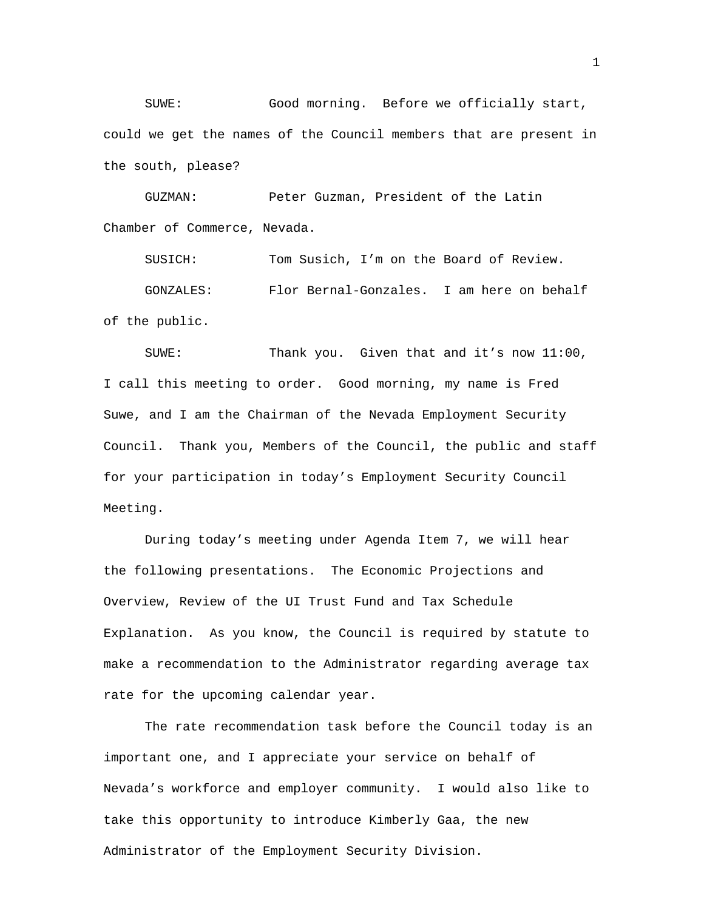SUWE: Good morning. Before we officially start, could we get the names of the Council members that are present in the south, please?

GUZMAN: Peter Guzman, President of the Latin Chamber of Commerce, Nevada.

SUSICH: Tom Susich, I'm on the Board of Review. GONZALES: Flor Bernal-Gonzales. I am here on behalf of the public.

SUWE: Thank you. Given that and it's now 11:00, I call this meeting to order. Good morning, my name is Fred Suwe, and I am the Chairman of the Nevada Employment Security Council. Thank you, Members of the Council, the public and staff for your participation in today's Employment Security Council Meeting.

During today's meeting under Agenda Item 7, we will hear the following presentations. The Economic Projections and Overview, Review of the UI Trust Fund and Tax Schedule Explanation. As you know, the Council is required by statute to make a recommendation to the Administrator regarding average tax rate for the upcoming calendar year.

The rate recommendation task before the Council today is an important one, and I appreciate your service on behalf of Nevada's workforce and employer community. I would also like to take this opportunity to introduce Kimberly Gaa, the new Administrator of the Employment Security Division.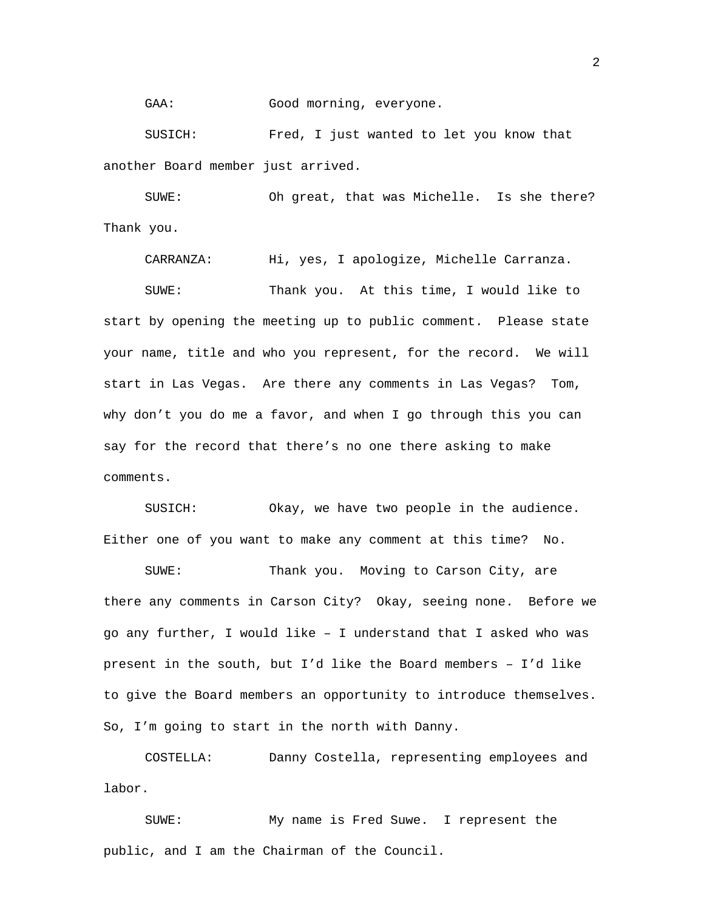GAA: Good morning, everyone.

SUSICH: Fred, I just wanted to let you know that another Board member just arrived.

SUWE: Oh great, that was Michelle. Is she there? Thank you.

CARRANZA: Hi, yes, I apologize, Michelle Carranza.

SUWE: Thank you. At this time, I would like to start by opening the meeting up to public comment. Please state your name, title and who you represent, for the record. We will start in Las Vegas. Are there any comments in Las Vegas? Tom, why don't you do me a favor, and when I go through this you can say for the record that there's no one there asking to make comments.

SUSICH: Okay, we have two people in the audience. Either one of you want to make any comment at this time? No.

SUWE: Thank you. Moving to Carson City, are there any comments in Carson City? Okay, seeing none. Before we go any further, I would like – I understand that I asked who was present in the south, but I'd like the Board members – I'd like to give the Board members an opportunity to introduce themselves. So, I'm going to start in the north with Danny.

COSTELLA: Danny Costella, representing employees and labor.

SUWE: My name is Fred Suwe. I represent the public, and I am the Chairman of the Council.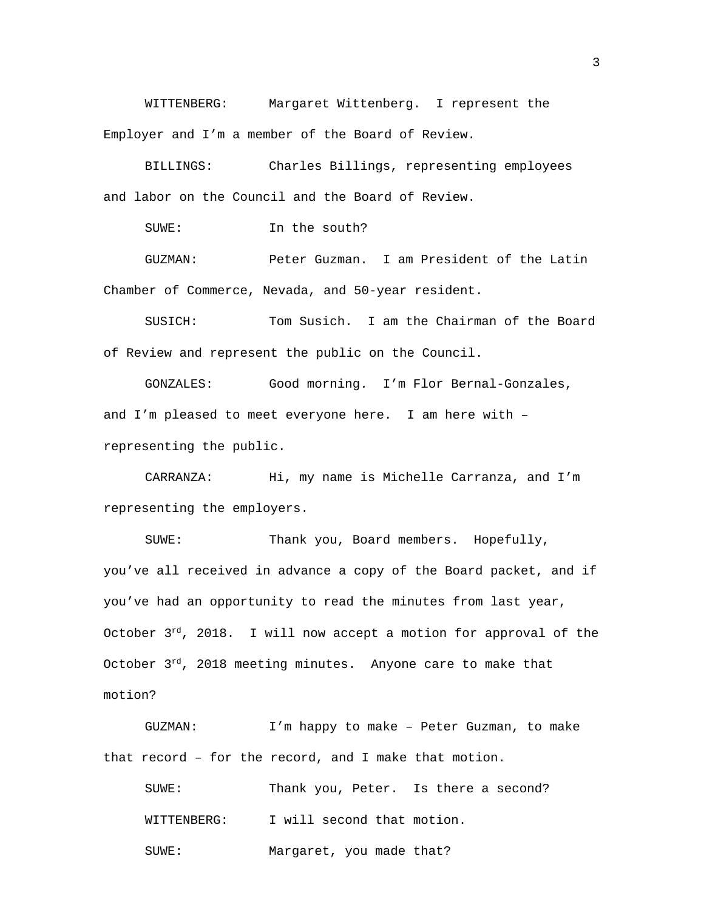WITTENBERG: Margaret Wittenberg. I represent the Employer and I'm a member of the Board of Review.

BILLINGS: Charles Billings, representing employees and labor on the Council and the Board of Review.

SUWE: In the south?

GUZMAN: Peter Guzman. I am President of the Latin Chamber of Commerce, Nevada, and 50-year resident.

SUSICH: Tom Susich. I am the Chairman of the Board of Review and represent the public on the Council.

GONZALES: Good morning. I'm Flor Bernal-Gonzales, and I'm pleased to meet everyone here. I am here with – representing the public.

CARRANZA: Hi, my name is Michelle Carranza, and I'm representing the employers.

SUWE: Thank you, Board members. Hopefully, you've all received in advance a copy of the Board packet, and if you've had an opportunity to read the minutes from last year, October  $3<sup>rd</sup>$ , 2018. I will now accept a motion for approval of the October  $3^{rd}$ , 2018 meeting minutes. Anyone care to make that motion?

GUZMAN: I'm happy to make – Peter Guzman, to make that record – for the record, and I make that motion.

| SUWE:       | Thank you, Peter. Is there a second? |  |
|-------------|--------------------------------------|--|
| WITTENBERG: | I will second that motion.           |  |
| SUWE:       | Margaret, you made that?             |  |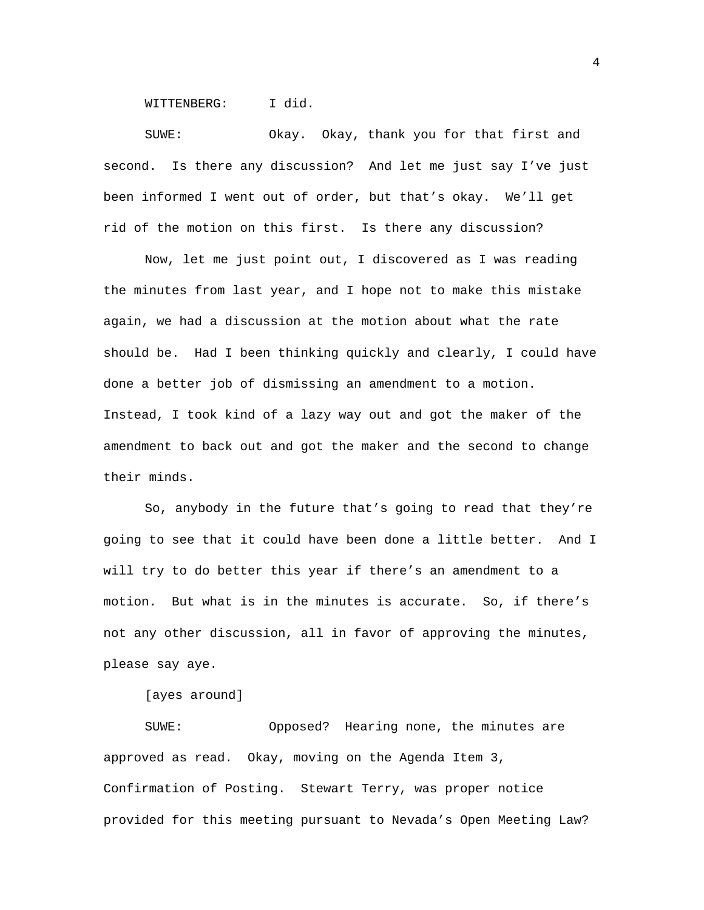WITTENBERG: I did.

SUWE: Okay. Okay, thank you for that first and second. Is there any discussion? And let me just say I've just been informed I went out of order, but that's okay. We'll get rid of the motion on this first. Is there any discussion?

Now, let me just point out, I discovered as I was reading the minutes from last year, and I hope not to make this mistake again, we had a discussion at the motion about what the rate should be. Had I been thinking quickly and clearly, I could have done a better job of dismissing an amendment to a motion. Instead, I took kind of a lazy way out and got the maker of the amendment to back out and got the maker and the second to change their minds.

So, anybody in the future that's going to read that they're going to see that it could have been done a little better. And I will try to do better this year if there's an amendment to a motion. But what is in the minutes is accurate. So, if there's not any other discussion, all in favor of approving the minutes, please say aye.

[ayes around]

SUWE: Opposed? Hearing none, the minutes are approved as read. Okay, moving on the Agenda Item 3, Confirmation of Posting. Stewart Terry, was proper notice provided for this meeting pursuant to Nevada's Open Meeting Law?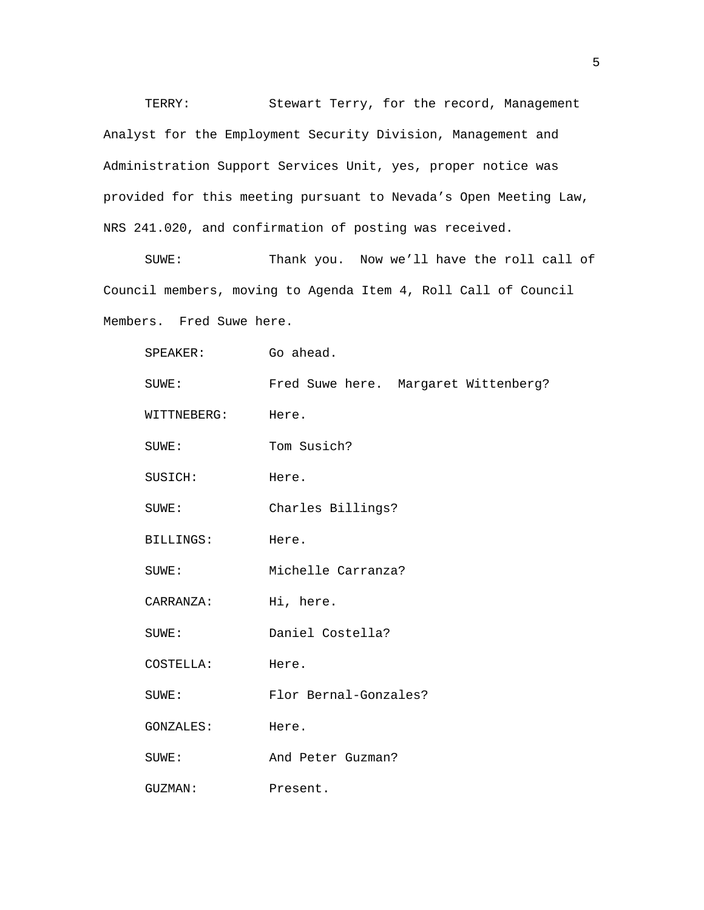TERRY: Stewart Terry, for the record, Management Analyst for the Employment Security Division, Management and Administration Support Services Unit, yes, proper notice was provided for this meeting pursuant to Nevada's Open Meeting Law, NRS 241.020, and confirmation of posting was received.

SUWE: Thank you. Now we'll have the roll call of Council members, moving to Agenda Item 4, Roll Call of Council Members. Fred Suwe here.

| $SPEAKER$ :      | Go ahead.                            |  |
|------------------|--------------------------------------|--|
| SUWE:            | Fred Suwe here. Margaret Wittenberg? |  |
| WITTNEBERG:      | Here.                                |  |
| SUWE:            | Tom Susich?                          |  |
| SUSICH:          | Here.                                |  |
| $\texttt{SUME}:$ | Charles Billings?                    |  |
| BILLINGS:        | Here.                                |  |
| SUWE:            | Michelle Carranza?                   |  |
| CARRANZA:        | Hi, here.                            |  |
| SUWE:            | Daniel Costella?                     |  |
| COSTELLA:        | Here.                                |  |
| SUWE:            | Flor Bernal-Gonzales?                |  |
| GONZALES:        | Here.                                |  |
| SUWE:            | And Peter Guzman?                    |  |
| GUZMAN:          | Present.                             |  |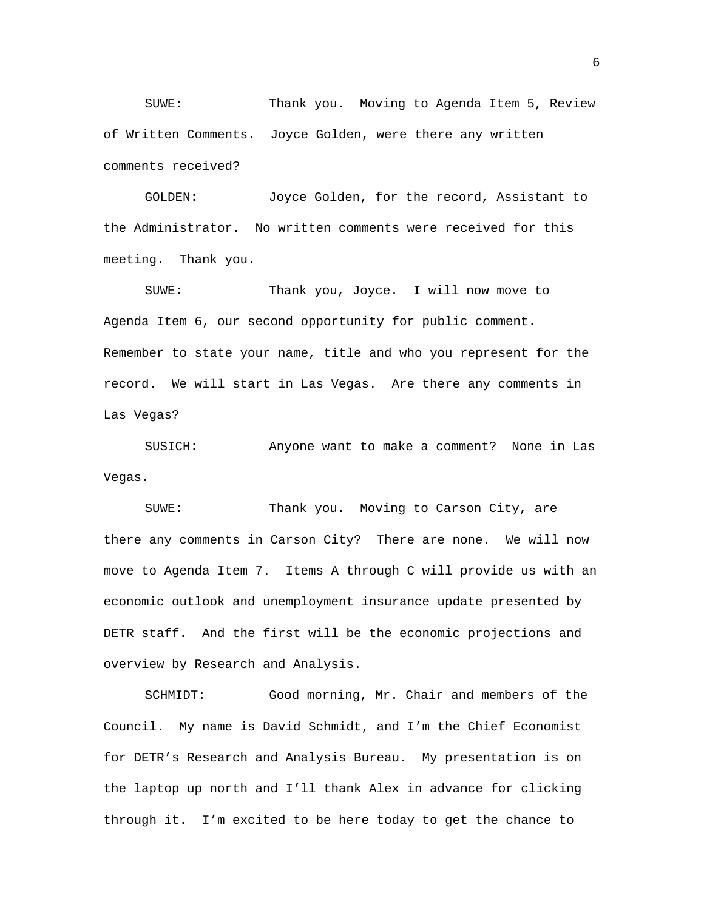SUWE: Thank you. Moving to Agenda Item 5, Review of Written Comments. Joyce Golden, were there any written comments received?

GOLDEN: Joyce Golden, for the record, Assistant to the Administrator. No written comments were received for this meeting. Thank you.

SUWE: Thank you, Joyce. I will now move to Agenda Item 6, our second opportunity for public comment. Remember to state your name, title and who you represent for the record. We will start in Las Vegas. Are there any comments in Las Vegas?

SUSICH: Anyone want to make a comment? None in Las Vegas.

SUWE: Thank you. Moving to Carson City, are there any comments in Carson City? There are none. We will now move to Agenda Item 7. Items A through C will provide us with an economic outlook and unemployment insurance update presented by DETR staff. And the first will be the economic projections and overview by Research and Analysis.

SCHMIDT: Good morning, Mr. Chair and members of the Council. My name is David Schmidt, and I'm the Chief Economist for DETR's Research and Analysis Bureau. My presentation is on the laptop up north and I'll thank Alex in advance for clicking through it. I'm excited to be here today to get the chance to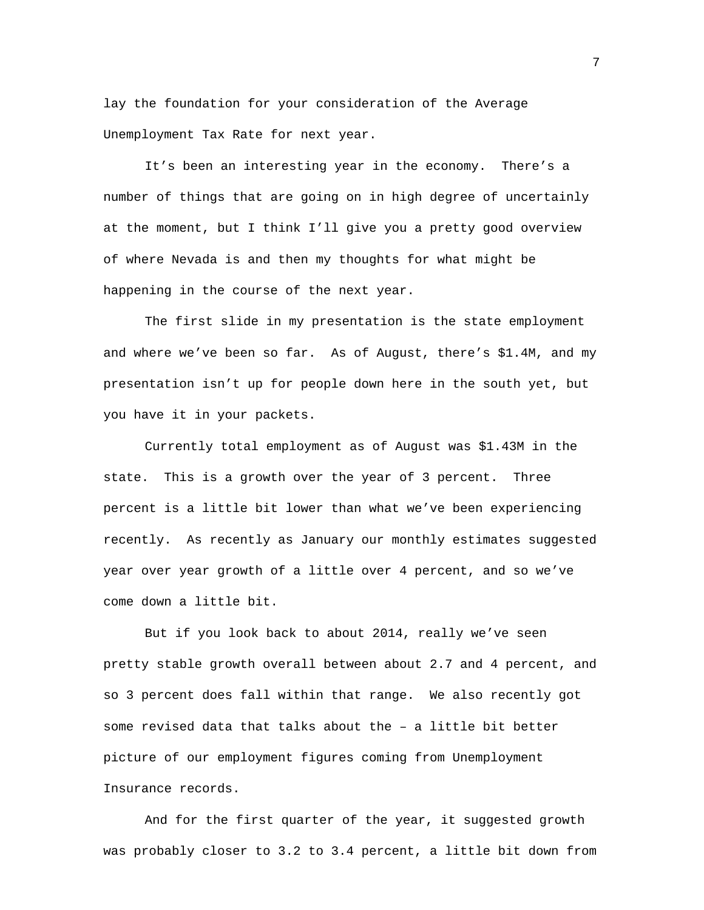lay the foundation for your consideration of the Average Unemployment Tax Rate for next year.

It's been an interesting year in the economy. There's a number of things that are going on in high degree of uncertainly at the moment, but I think I'll give you a pretty good overview of where Nevada is and then my thoughts for what might be happening in the course of the next year.

The first slide in my presentation is the state employment and where we've been so far. As of August, there's \$1.4M, and my presentation isn't up for people down here in the south yet, but you have it in your packets.

Currently total employment as of August was \$1.43M in the state. This is a growth over the year of 3 percent. Three percent is a little bit lower than what we've been experiencing recently. As recently as January our monthly estimates suggested year over year growth of a little over 4 percent, and so we've come down a little bit.

But if you look back to about 2014, really we've seen pretty stable growth overall between about 2.7 and 4 percent, and so 3 percent does fall within that range. We also recently got some revised data that talks about the – a little bit better picture of our employment figures coming from Unemployment Insurance records.

And for the first quarter of the year, it suggested growth was probably closer to 3.2 to 3.4 percent, a little bit down from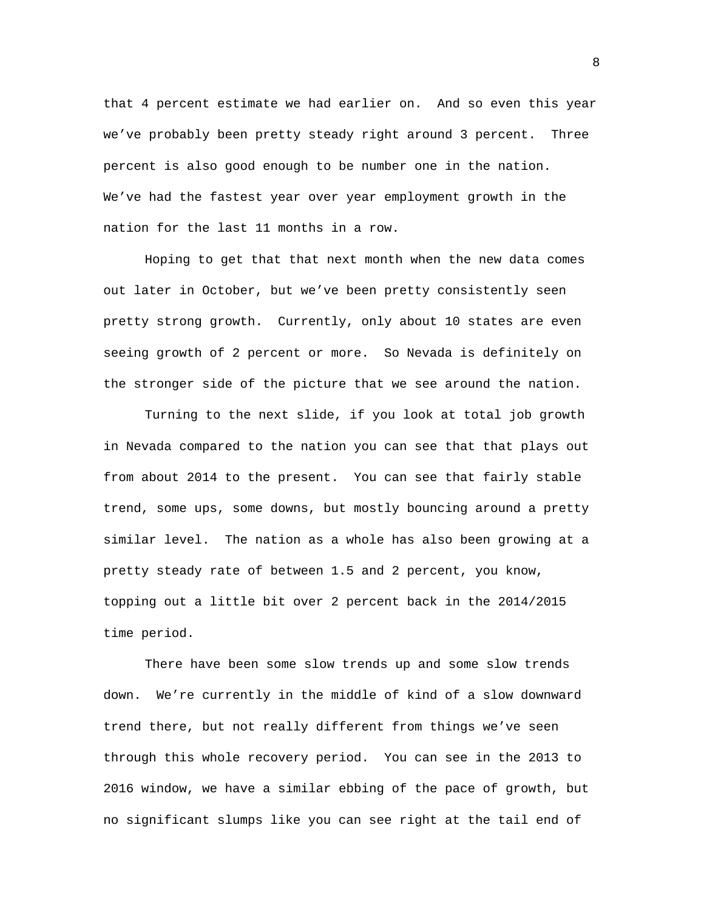that 4 percent estimate we had earlier on. And so even this year we've probably been pretty steady right around 3 percent. Three percent is also good enough to be number one in the nation. We've had the fastest year over year employment growth in the nation for the last 11 months in a row.

Hoping to get that that next month when the new data comes out later in October, but we've been pretty consistently seen pretty strong growth. Currently, only about 10 states are even seeing growth of 2 percent or more. So Nevada is definitely on the stronger side of the picture that we see around the nation.

Turning to the next slide, if you look at total job growth in Nevada compared to the nation you can see that that plays out from about 2014 to the present. You can see that fairly stable trend, some ups, some downs, but mostly bouncing around a pretty similar level. The nation as a whole has also been growing at a pretty steady rate of between 1.5 and 2 percent, you know, topping out a little bit over 2 percent back in the 2014/2015 time period.

There have been some slow trends up and some slow trends down. We're currently in the middle of kind of a slow downward trend there, but not really different from things we've seen through this whole recovery period. You can see in the 2013 to 2016 window, we have a similar ebbing of the pace of growth, but no significant slumps like you can see right at the tail end of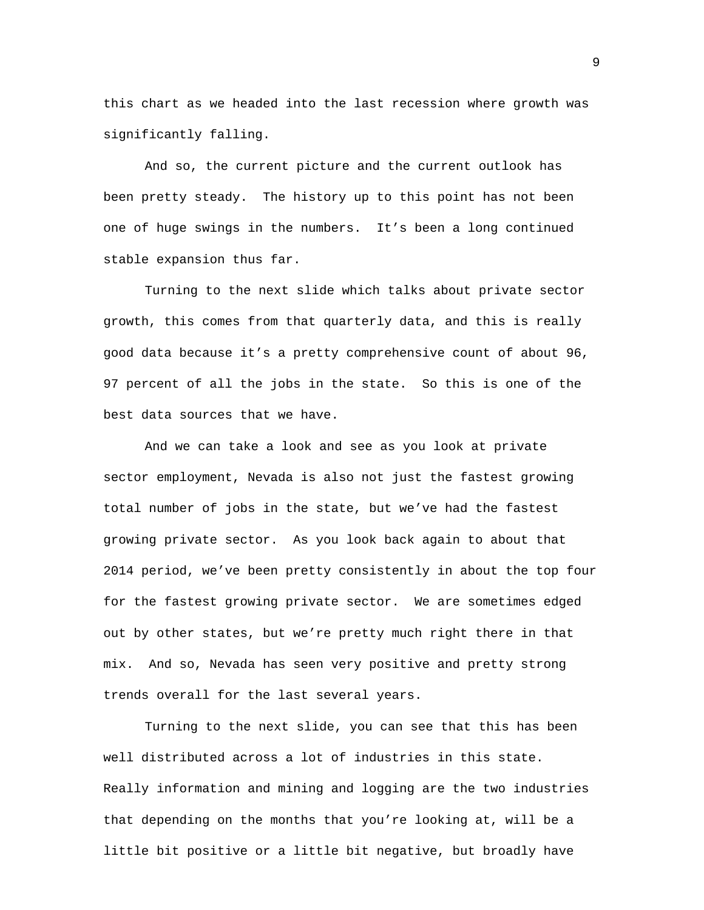this chart as we headed into the last recession where growth was significantly falling.

And so, the current picture and the current outlook has been pretty steady. The history up to this point has not been one of huge swings in the numbers. It's been a long continued stable expansion thus far.

Turning to the next slide which talks about private sector growth, this comes from that quarterly data, and this is really good data because it's a pretty comprehensive count of about 96, 97 percent of all the jobs in the state. So this is one of the best data sources that we have.

And we can take a look and see as you look at private sector employment, Nevada is also not just the fastest growing total number of jobs in the state, but we've had the fastest growing private sector. As you look back again to about that 2014 period, we've been pretty consistently in about the top four for the fastest growing private sector. We are sometimes edged out by other states, but we're pretty much right there in that mix. And so, Nevada has seen very positive and pretty strong trends overall for the last several years.

Turning to the next slide, you can see that this has been well distributed across a lot of industries in this state. Really information and mining and logging are the two industries that depending on the months that you're looking at, will be a little bit positive or a little bit negative, but broadly have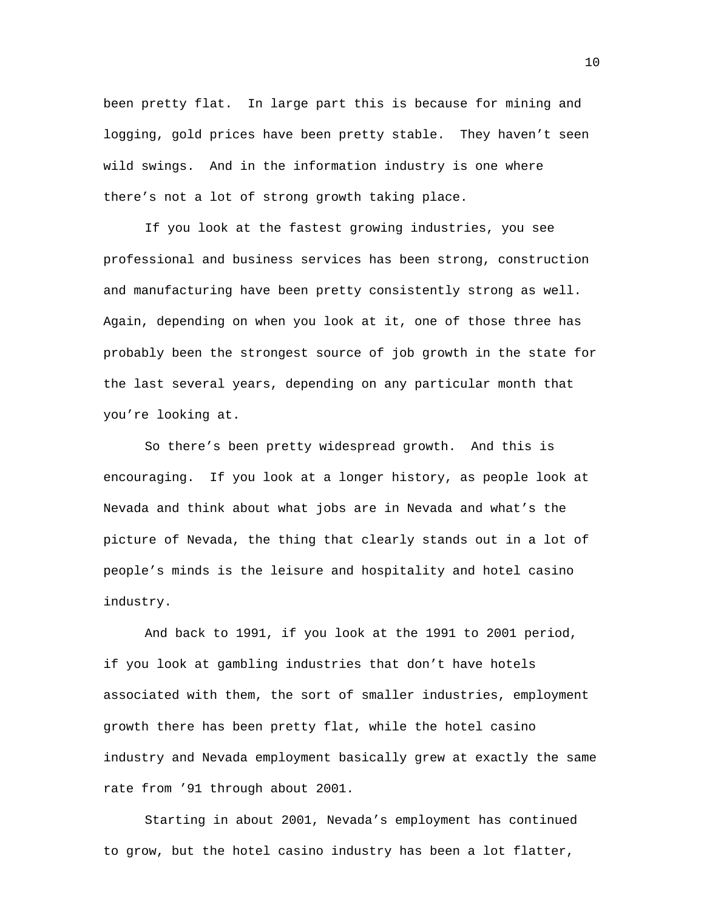been pretty flat. In large part this is because for mining and logging, gold prices have been pretty stable. They haven't seen wild swings. And in the information industry is one where there's not a lot of strong growth taking place.

If you look at the fastest growing industries, you see professional and business services has been strong, construction and manufacturing have been pretty consistently strong as well. Again, depending on when you look at it, one of those three has probably been the strongest source of job growth in the state for the last several years, depending on any particular month that you're looking at.

So there's been pretty widespread growth. And this is encouraging. If you look at a longer history, as people look at Nevada and think about what jobs are in Nevada and what's the picture of Nevada, the thing that clearly stands out in a lot of people's minds is the leisure and hospitality and hotel casino industry.

And back to 1991, if you look at the 1991 to 2001 period, if you look at gambling industries that don't have hotels associated with them, the sort of smaller industries, employment growth there has been pretty flat, while the hotel casino industry and Nevada employment basically grew at exactly the same rate from '91 through about 2001.

Starting in about 2001, Nevada's employment has continued to grow, but the hotel casino industry has been a lot flatter,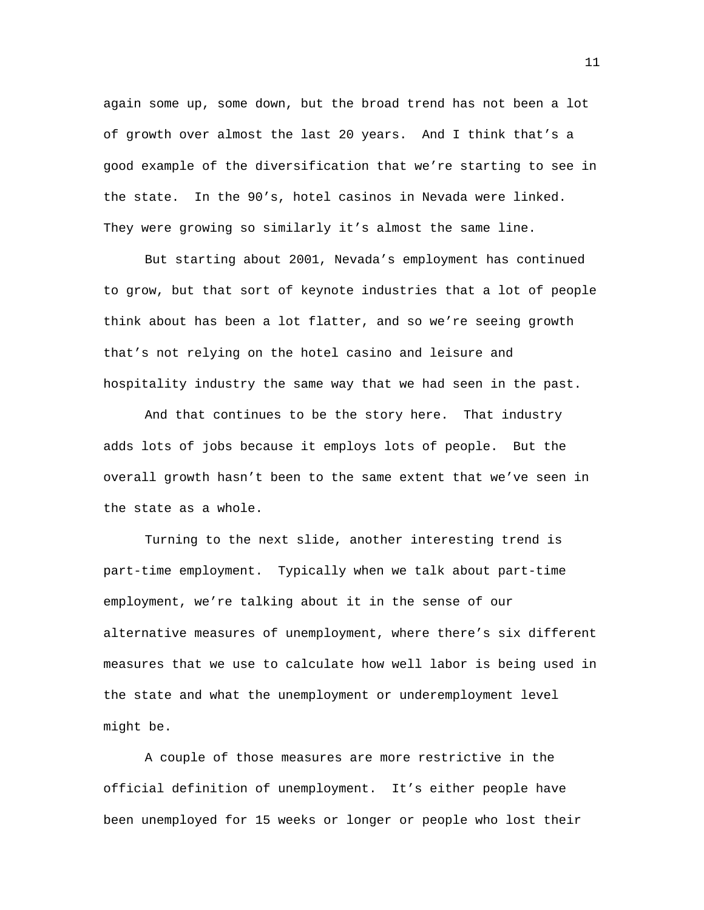again some up, some down, but the broad trend has not been a lot of growth over almost the last 20 years. And I think that's a good example of the diversification that we're starting to see in the state. In the 90's, hotel casinos in Nevada were linked. They were growing so similarly it's almost the same line.

But starting about 2001, Nevada's employment has continued to grow, but that sort of keynote industries that a lot of people think about has been a lot flatter, and so we're seeing growth that's not relying on the hotel casino and leisure and hospitality industry the same way that we had seen in the past.

And that continues to be the story here. That industry adds lots of jobs because it employs lots of people. But the overall growth hasn't been to the same extent that we've seen in the state as a whole.

Turning to the next slide, another interesting trend is part-time employment. Typically when we talk about part-time employment, we're talking about it in the sense of our alternative measures of unemployment, where there's six different measures that we use to calculate how well labor is being used in the state and what the unemployment or underemployment level might be.

A couple of those measures are more restrictive in the official definition of unemployment. It's either people have been unemployed for 15 weeks or longer or people who lost their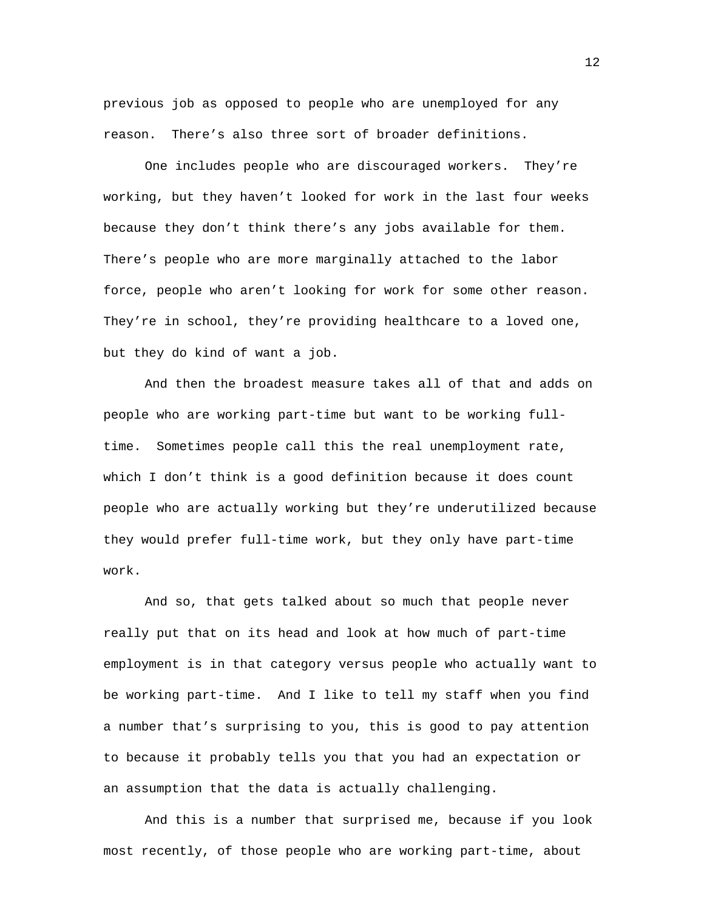previous job as opposed to people who are unemployed for any reason. There's also three sort of broader definitions.

One includes people who are discouraged workers. They're working, but they haven't looked for work in the last four weeks because they don't think there's any jobs available for them. There's people who are more marginally attached to the labor force, people who aren't looking for work for some other reason. They're in school, they're providing healthcare to a loved one, but they do kind of want a job.

And then the broadest measure takes all of that and adds on people who are working part-time but want to be working fulltime. Sometimes people call this the real unemployment rate, which I don't think is a good definition because it does count people who are actually working but they're underutilized because they would prefer full-time work, but they only have part-time work.

And so, that gets talked about so much that people never really put that on its head and look at how much of part-time employment is in that category versus people who actually want to be working part-time. And I like to tell my staff when you find a number that's surprising to you, this is good to pay attention to because it probably tells you that you had an expectation or an assumption that the data is actually challenging.

And this is a number that surprised me, because if you look most recently, of those people who are working part-time, about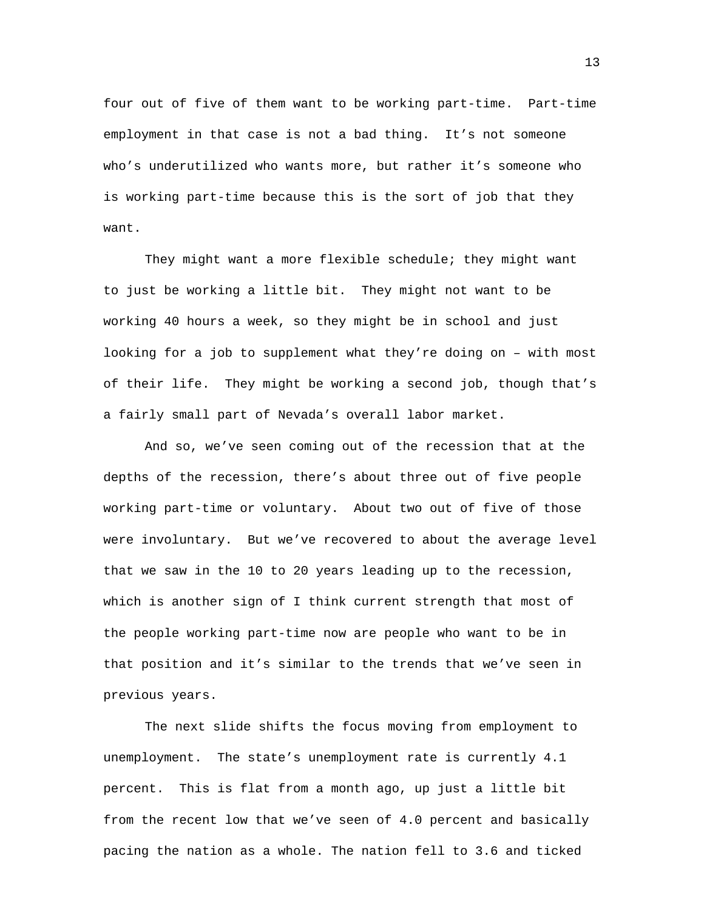four out of five of them want to be working part-time. Part-time employment in that case is not a bad thing. It's not someone who's underutilized who wants more, but rather it's someone who is working part-time because this is the sort of job that they want.

They might want a more flexible schedule; they might want to just be working a little bit. They might not want to be working 40 hours a week, so they might be in school and just looking for a job to supplement what they're doing on – with most of their life. They might be working a second job, though that's a fairly small part of Nevada's overall labor market.

And so, we've seen coming out of the recession that at the depths of the recession, there's about three out of five people working part-time or voluntary. About two out of five of those were involuntary. But we've recovered to about the average level that we saw in the 10 to 20 years leading up to the recession, which is another sign of I think current strength that most of the people working part-time now are people who want to be in that position and it's similar to the trends that we've seen in previous years.

The next slide shifts the focus moving from employment to unemployment. The state's unemployment rate is currently 4.1 percent. This is flat from a month ago, up just a little bit from the recent low that we've seen of 4.0 percent and basically pacing the nation as a whole. The nation fell to 3.6 and ticked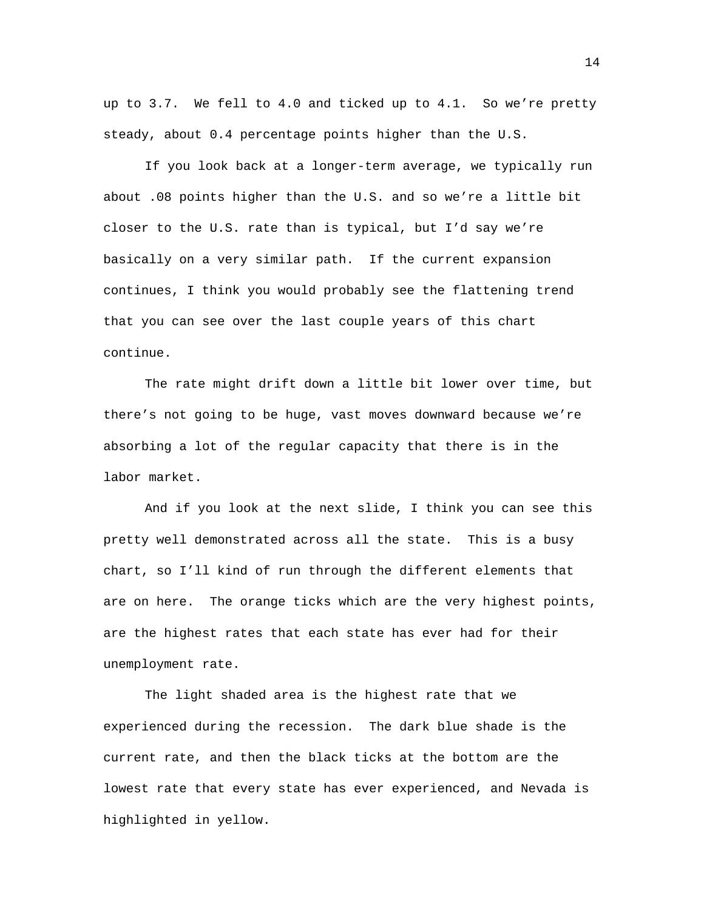up to 3.7. We fell to 4.0 and ticked up to 4.1. So we're pretty steady, about 0.4 percentage points higher than the U.S.

If you look back at a longer-term average, we typically run about .08 points higher than the U.S. and so we're a little bit closer to the U.S. rate than is typical, but I'd say we're basically on a very similar path. If the current expansion continues, I think you would probably see the flattening trend that you can see over the last couple years of this chart continue.

The rate might drift down a little bit lower over time, but there's not going to be huge, vast moves downward because we're absorbing a lot of the regular capacity that there is in the labor market.

And if you look at the next slide, I think you can see this pretty well demonstrated across all the state. This is a busy chart, so I'll kind of run through the different elements that are on here. The orange ticks which are the very highest points, are the highest rates that each state has ever had for their unemployment rate.

The light shaded area is the highest rate that we experienced during the recession. The dark blue shade is the current rate, and then the black ticks at the bottom are the lowest rate that every state has ever experienced, and Nevada is highlighted in yellow.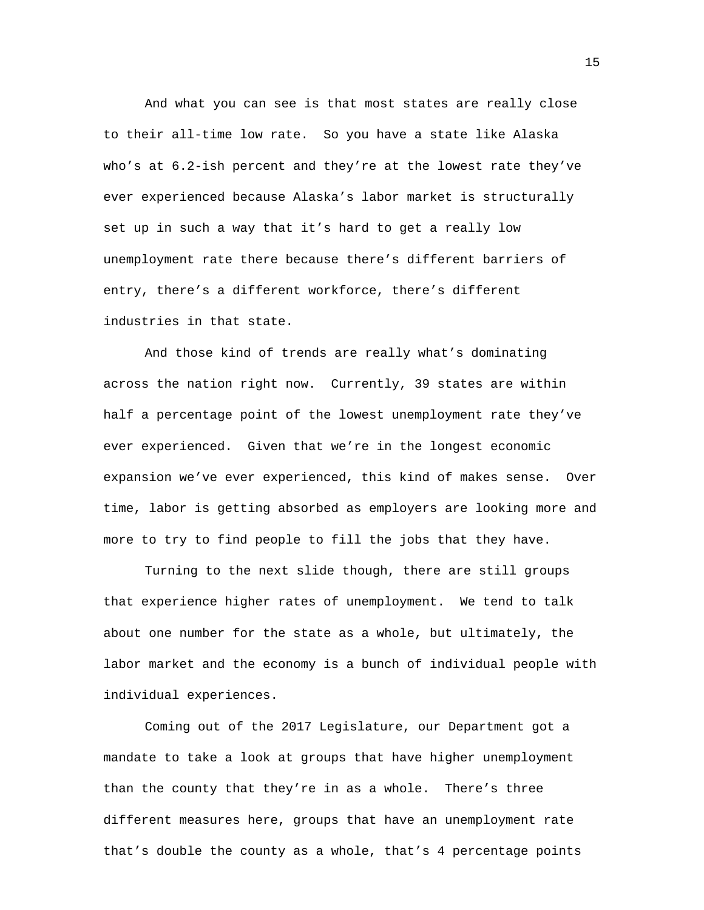And what you can see is that most states are really close to their all-time low rate. So you have a state like Alaska who's at 6.2-ish percent and they're at the lowest rate they've ever experienced because Alaska's labor market is structurally set up in such a way that it's hard to get a really low unemployment rate there because there's different barriers of entry, there's a different workforce, there's different industries in that state.

And those kind of trends are really what's dominating across the nation right now. Currently, 39 states are within half a percentage point of the lowest unemployment rate they've ever experienced. Given that we're in the longest economic expansion we've ever experienced, this kind of makes sense. Over time, labor is getting absorbed as employers are looking more and more to try to find people to fill the jobs that they have.

Turning to the next slide though, there are still groups that experience higher rates of unemployment. We tend to talk about one number for the state as a whole, but ultimately, the labor market and the economy is a bunch of individual people with individual experiences.

Coming out of the 2017 Legislature, our Department got a mandate to take a look at groups that have higher unemployment than the county that they're in as a whole. There's three different measures here, groups that have an unemployment rate that's double the county as a whole, that's 4 percentage points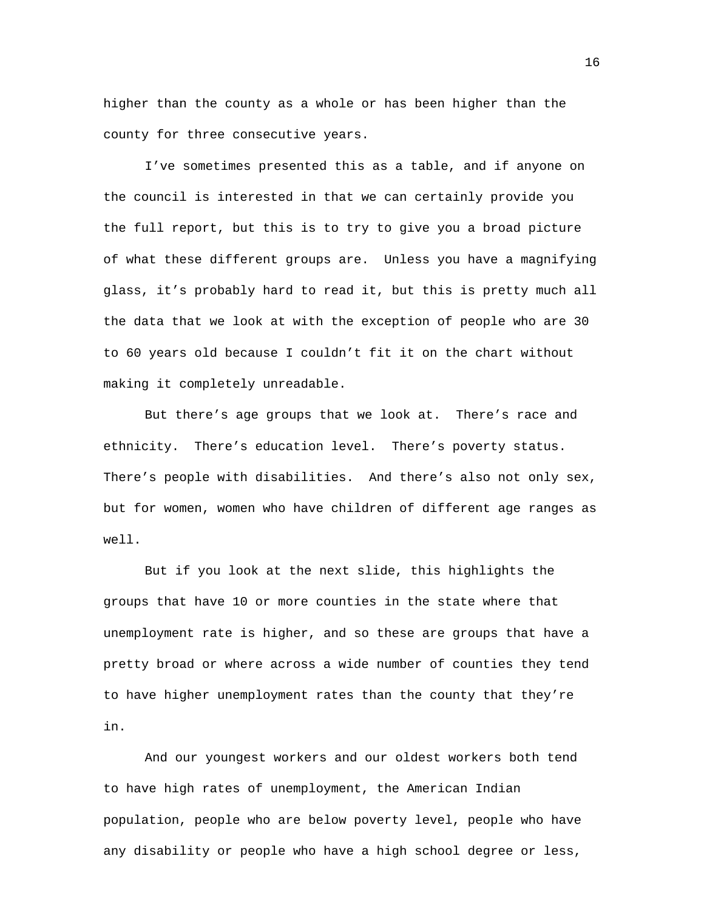higher than the county as a whole or has been higher than the county for three consecutive years.

I've sometimes presented this as a table, and if anyone on the council is interested in that we can certainly provide you the full report, but this is to try to give you a broad picture of what these different groups are. Unless you have a magnifying glass, it's probably hard to read it, but this is pretty much all the data that we look at with the exception of people who are 30 to 60 years old because I couldn't fit it on the chart without making it completely unreadable.

But there's age groups that we look at. There's race and ethnicity. There's education level. There's poverty status. There's people with disabilities. And there's also not only sex, but for women, women who have children of different age ranges as well.

But if you look at the next slide, this highlights the groups that have 10 or more counties in the state where that unemployment rate is higher, and so these are groups that have a pretty broad or where across a wide number of counties they tend to have higher unemployment rates than the county that they're in.

And our youngest workers and our oldest workers both tend to have high rates of unemployment, the American Indian population, people who are below poverty level, people who have any disability or people who have a high school degree or less,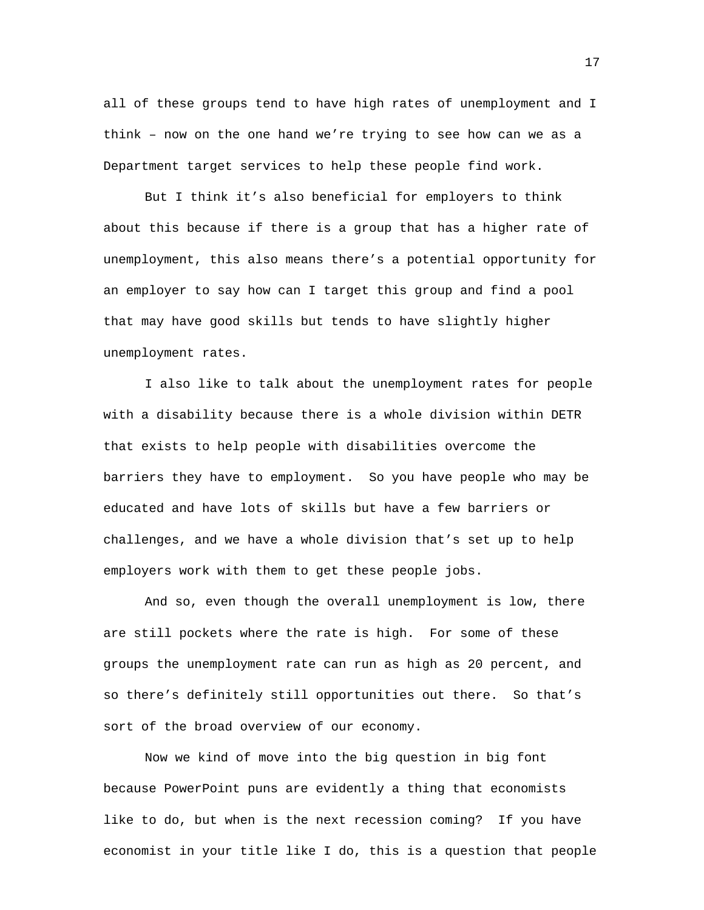all of these groups tend to have high rates of unemployment and I think – now on the one hand we're trying to see how can we as a Department target services to help these people find work.

But I think it's also beneficial for employers to think about this because if there is a group that has a higher rate of unemployment, this also means there's a potential opportunity for an employer to say how can I target this group and find a pool that may have good skills but tends to have slightly higher unemployment rates.

I also like to talk about the unemployment rates for people with a disability because there is a whole division within DETR that exists to help people with disabilities overcome the barriers they have to employment. So you have people who may be educated and have lots of skills but have a few barriers or challenges, and we have a whole division that's set up to help employers work with them to get these people jobs.

And so, even though the overall unemployment is low, there are still pockets where the rate is high. For some of these groups the unemployment rate can run as high as 20 percent, and so there's definitely still opportunities out there. So that's sort of the broad overview of our economy.

Now we kind of move into the big question in big font because PowerPoint puns are evidently a thing that economists like to do, but when is the next recession coming? If you have economist in your title like I do, this is a question that people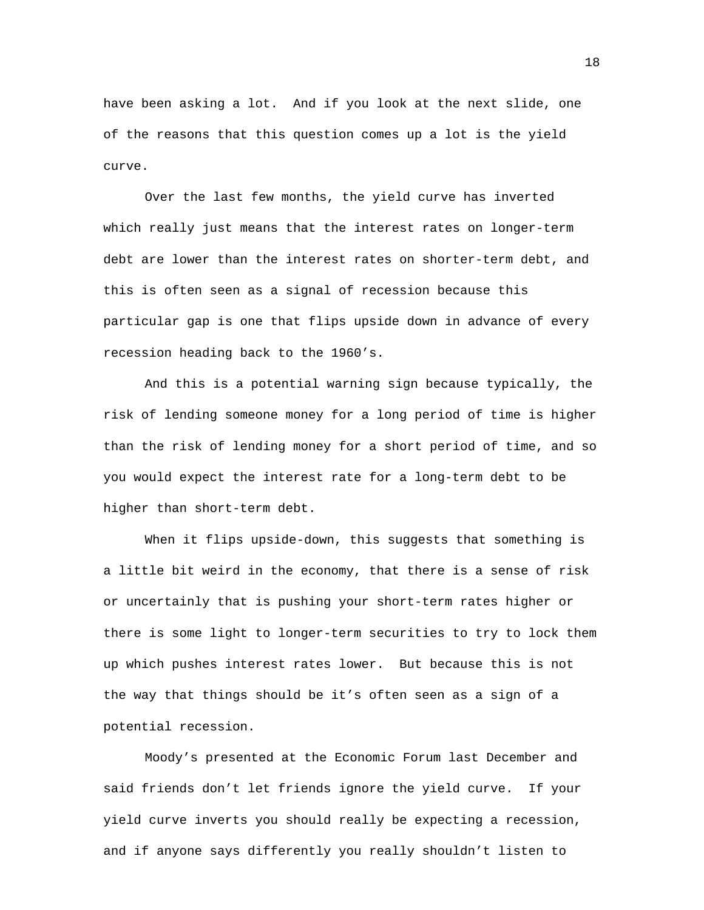have been asking a lot. And if you look at the next slide, one of the reasons that this question comes up a lot is the yield curve.

Over the last few months, the yield curve has inverted which really just means that the interest rates on longer-term debt are lower than the interest rates on shorter-term debt, and this is often seen as a signal of recession because this particular gap is one that flips upside down in advance of every recession heading back to the 1960's.

And this is a potential warning sign because typically, the risk of lending someone money for a long period of time is higher than the risk of lending money for a short period of time, and so you would expect the interest rate for a long-term debt to be higher than short-term debt.

When it flips upside-down, this suggests that something is a little bit weird in the economy, that there is a sense of risk or uncertainly that is pushing your short-term rates higher or there is some light to longer-term securities to try to lock them up which pushes interest rates lower. But because this is not the way that things should be it's often seen as a sign of a potential recession.

Moody's presented at the Economic Forum last December and said friends don't let friends ignore the yield curve. If your yield curve inverts you should really be expecting a recession, and if anyone says differently you really shouldn't listen to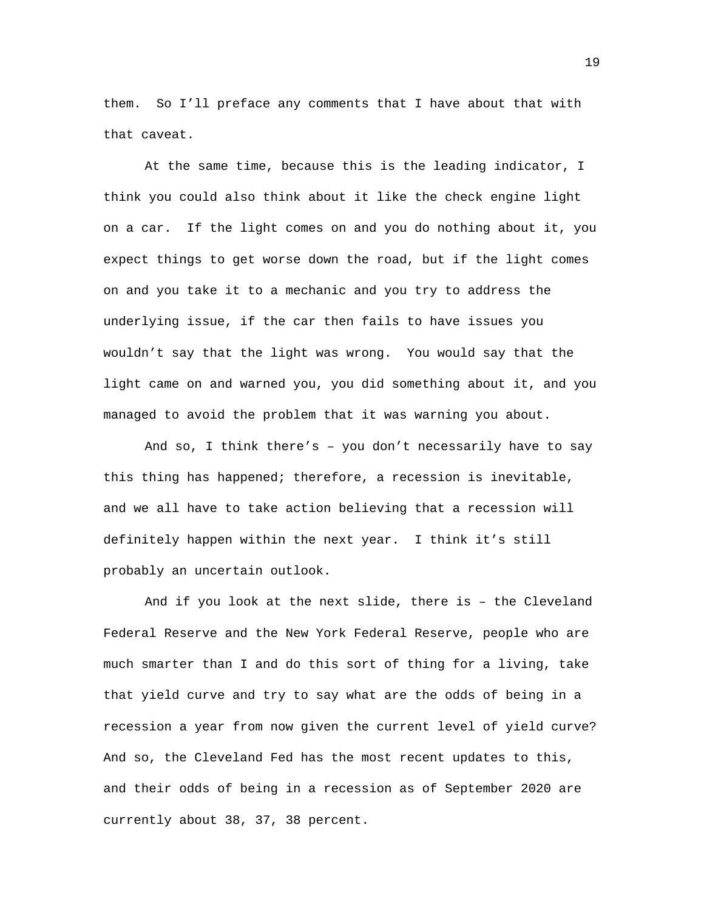them. So I'll preface any comments that I have about that with that caveat.

At the same time, because this is the leading indicator, I think you could also think about it like the check engine light on a car. If the light comes on and you do nothing about it, you expect things to get worse down the road, but if the light comes on and you take it to a mechanic and you try to address the underlying issue, if the car then fails to have issues you wouldn't say that the light was wrong. You would say that the light came on and warned you, you did something about it, and you managed to avoid the problem that it was warning you about.

And so, I think there's – you don't necessarily have to say this thing has happened; therefore, a recession is inevitable, and we all have to take action believing that a recession will definitely happen within the next year. I think it's still probably an uncertain outlook.

And if you look at the next slide, there is – the Cleveland Federal Reserve and the New York Federal Reserve, people who are much smarter than I and do this sort of thing for a living, take that yield curve and try to say what are the odds of being in a recession a year from now given the current level of yield curve? And so, the Cleveland Fed has the most recent updates to this, and their odds of being in a recession as of September 2020 are currently about 38, 37, 38 percent.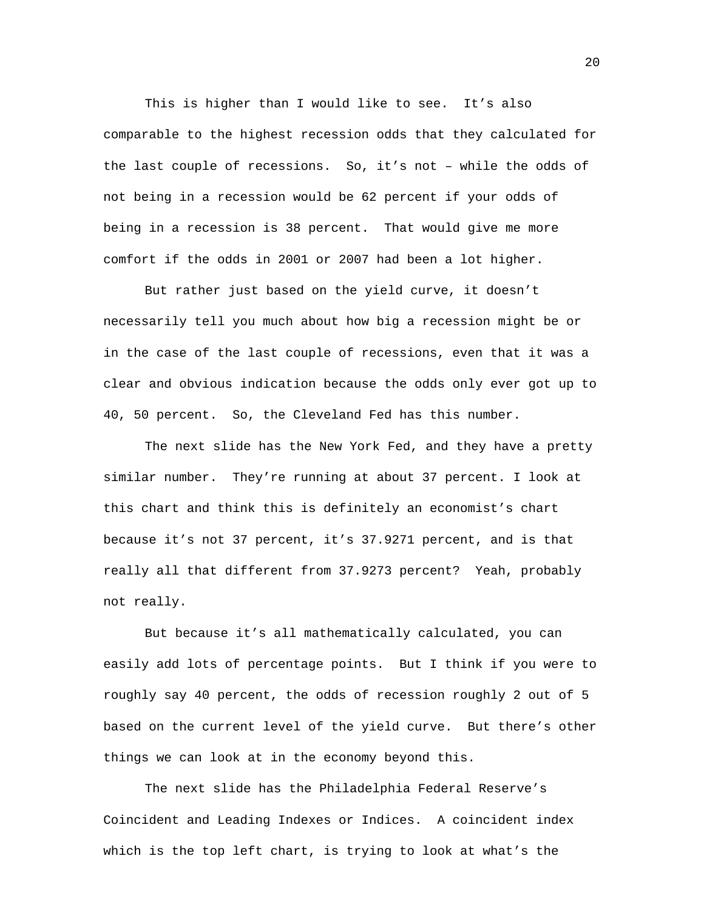This is higher than I would like to see. It's also comparable to the highest recession odds that they calculated for the last couple of recessions. So, it's not – while the odds of not being in a recession would be 62 percent if your odds of being in a recession is 38 percent. That would give me more comfort if the odds in 2001 or 2007 had been a lot higher.

But rather just based on the yield curve, it doesn't necessarily tell you much about how big a recession might be or in the case of the last couple of recessions, even that it was a clear and obvious indication because the odds only ever got up to 40, 50 percent. So, the Cleveland Fed has this number.

The next slide has the New York Fed, and they have a pretty similar number. They're running at about 37 percent. I look at this chart and think this is definitely an economist's chart because it's not 37 percent, it's 37.9271 percent, and is that really all that different from 37.9273 percent? Yeah, probably not really.

But because it's all mathematically calculated, you can easily add lots of percentage points. But I think if you were to roughly say 40 percent, the odds of recession roughly 2 out of 5 based on the current level of the yield curve. But there's other things we can look at in the economy beyond this.

The next slide has the Philadelphia Federal Reserve's Coincident and Leading Indexes or Indices. A coincident index which is the top left chart, is trying to look at what's the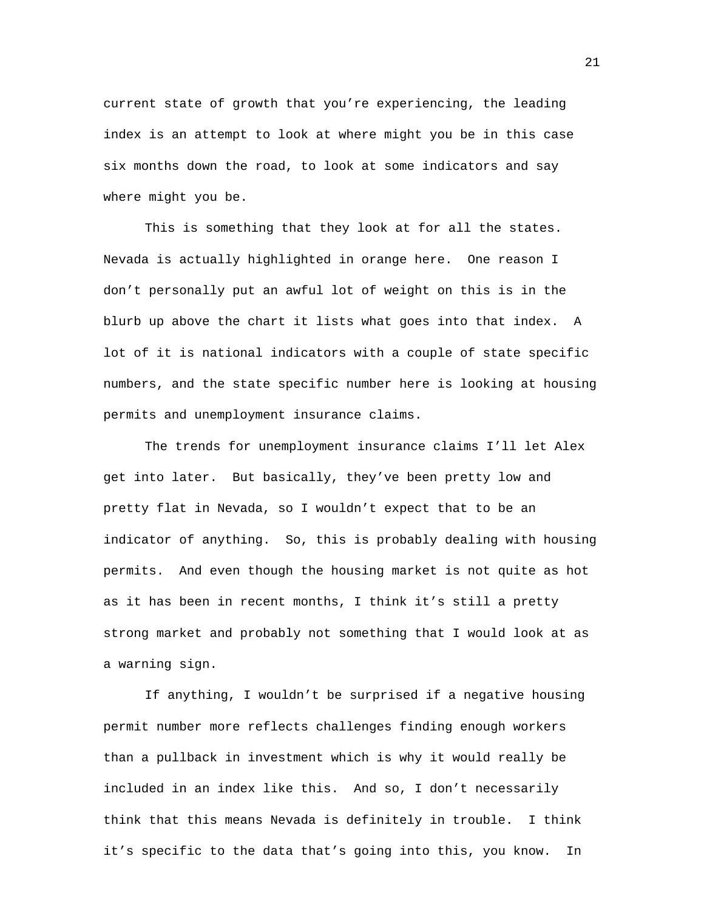current state of growth that you're experiencing, the leading index is an attempt to look at where might you be in this case six months down the road, to look at some indicators and say where might you be.

This is something that they look at for all the states. Nevada is actually highlighted in orange here. One reason I don't personally put an awful lot of weight on this is in the blurb up above the chart it lists what goes into that index. A lot of it is national indicators with a couple of state specific numbers, and the state specific number here is looking at housing permits and unemployment insurance claims.

The trends for unemployment insurance claims I'll let Alex get into later. But basically, they've been pretty low and pretty flat in Nevada, so I wouldn't expect that to be an indicator of anything. So, this is probably dealing with housing permits. And even though the housing market is not quite as hot as it has been in recent months, I think it's still a pretty strong market and probably not something that I would look at as a warning sign.

If anything, I wouldn't be surprised if a negative housing permit number more reflects challenges finding enough workers than a pullback in investment which is why it would really be included in an index like this. And so, I don't necessarily think that this means Nevada is definitely in trouble. I think it's specific to the data that's going into this, you know. In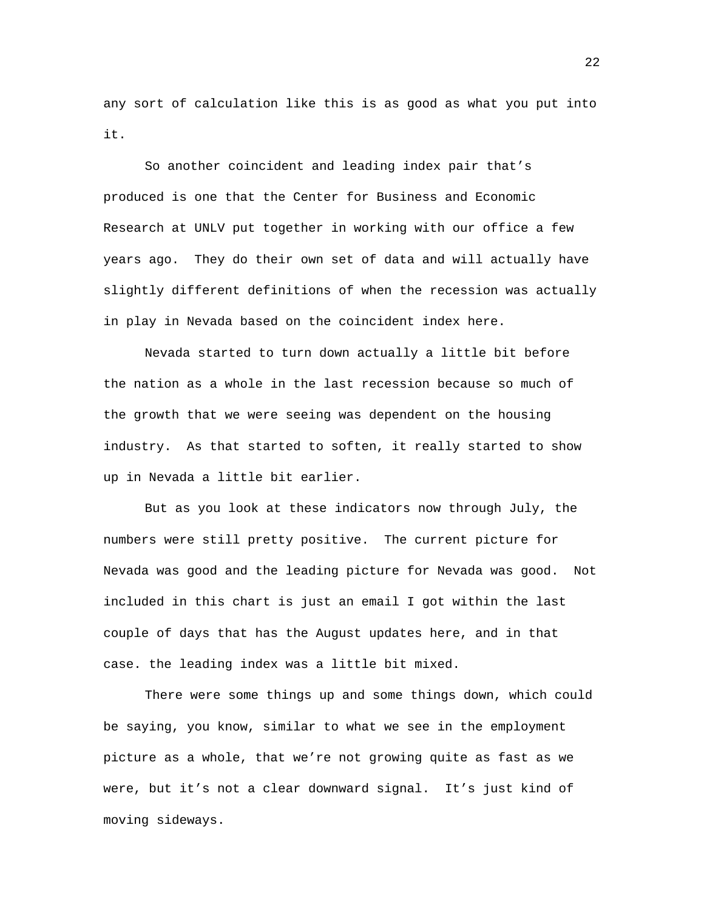any sort of calculation like this is as good as what you put into it.

So another coincident and leading index pair that's produced is one that the Center for Business and Economic Research at UNLV put together in working with our office a few years ago. They do their own set of data and will actually have slightly different definitions of when the recession was actually in play in Nevada based on the coincident index here.

Nevada started to turn down actually a little bit before the nation as a whole in the last recession because so much of the growth that we were seeing was dependent on the housing industry. As that started to soften, it really started to show up in Nevada a little bit earlier.

But as you look at these indicators now through July, the numbers were still pretty positive. The current picture for Nevada was good and the leading picture for Nevada was good. Not included in this chart is just an email I got within the last couple of days that has the August updates here, and in that case. the leading index was a little bit mixed.

There were some things up and some things down, which could be saying, you know, similar to what we see in the employment picture as a whole, that we're not growing quite as fast as we were, but it's not a clear downward signal. It's just kind of moving sideways.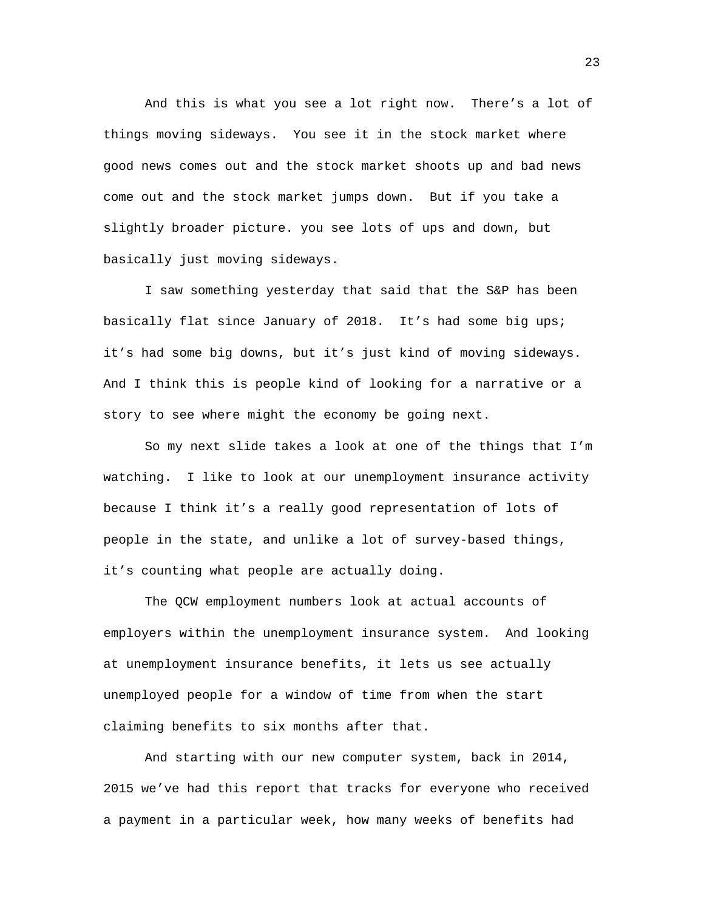And this is what you see a lot right now. There's a lot of things moving sideways. You see it in the stock market where good news comes out and the stock market shoots up and bad news come out and the stock market jumps down. But if you take a slightly broader picture. you see lots of ups and down, but basically just moving sideways.

I saw something yesterday that said that the S&P has been basically flat since January of 2018. It's had some big ups; it's had some big downs, but it's just kind of moving sideways. And I think this is people kind of looking for a narrative or a story to see where might the economy be going next.

So my next slide takes a look at one of the things that I'm watching. I like to look at our unemployment insurance activity because I think it's a really good representation of lots of people in the state, and unlike a lot of survey-based things, it's counting what people are actually doing.

The QCW employment numbers look at actual accounts of employers within the unemployment insurance system. And looking at unemployment insurance benefits, it lets us see actually unemployed people for a window of time from when the start claiming benefits to six months after that.

And starting with our new computer system, back in 2014, 2015 we've had this report that tracks for everyone who received a payment in a particular week, how many weeks of benefits had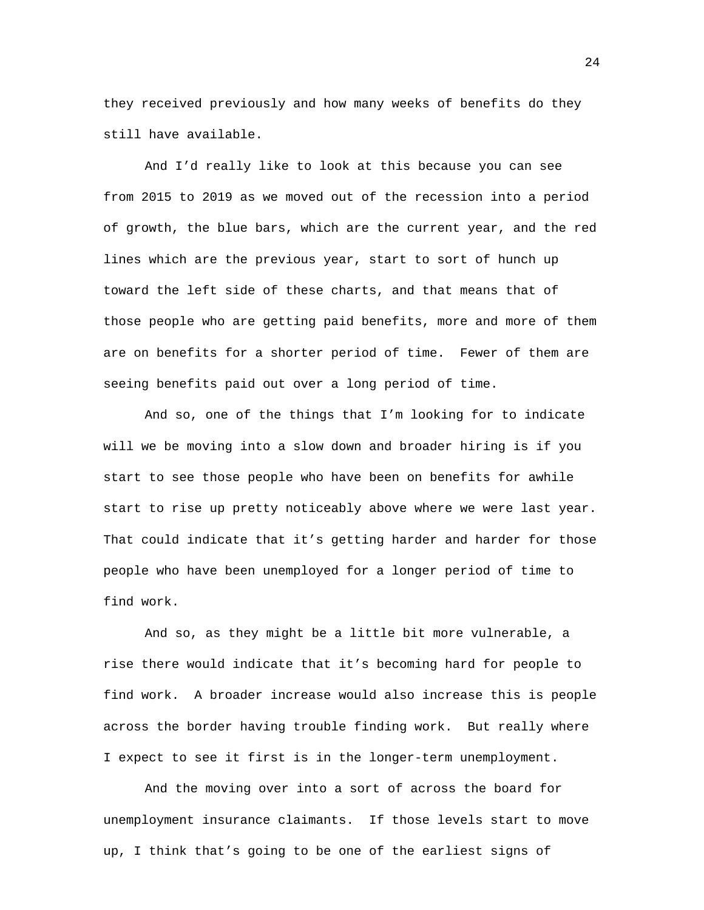they received previously and how many weeks of benefits do they still have available.

And I'd really like to look at this because you can see from 2015 to 2019 as we moved out of the recession into a period of growth, the blue bars, which are the current year, and the red lines which are the previous year, start to sort of hunch up toward the left side of these charts, and that means that of those people who are getting paid benefits, more and more of them are on benefits for a shorter period of time. Fewer of them are seeing benefits paid out over a long period of time.

And so, one of the things that I'm looking for to indicate will we be moving into a slow down and broader hiring is if you start to see those people who have been on benefits for awhile start to rise up pretty noticeably above where we were last year. That could indicate that it's getting harder and harder for those people who have been unemployed for a longer period of time to find work.

And so, as they might be a little bit more vulnerable, a rise there would indicate that it's becoming hard for people to find work. A broader increase would also increase this is people across the border having trouble finding work. But really where I expect to see it first is in the longer-term unemployment.

And the moving over into a sort of across the board for unemployment insurance claimants. If those levels start to move up, I think that's going to be one of the earliest signs of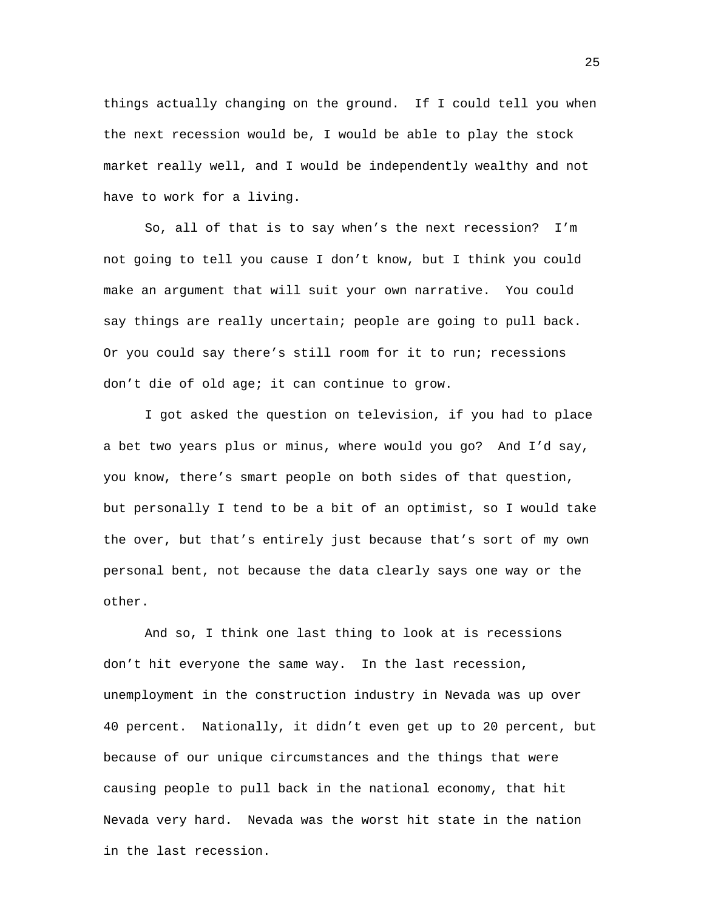things actually changing on the ground. If I could tell you when the next recession would be, I would be able to play the stock market really well, and I would be independently wealthy and not have to work for a living.

So, all of that is to say when's the next recession? I'm not going to tell you cause I don't know, but I think you could make an argument that will suit your own narrative. You could say things are really uncertain; people are going to pull back. Or you could say there's still room for it to run; recessions don't die of old age; it can continue to grow.

I got asked the question on television, if you had to place a bet two years plus or minus, where would you go? And I'd say, you know, there's smart people on both sides of that question, but personally I tend to be a bit of an optimist, so I would take the over, but that's entirely just because that's sort of my own personal bent, not because the data clearly says one way or the other.

And so, I think one last thing to look at is recessions don't hit everyone the same way. In the last recession, unemployment in the construction industry in Nevada was up over 40 percent. Nationally, it didn't even get up to 20 percent, but because of our unique circumstances and the things that were causing people to pull back in the national economy, that hit Nevada very hard. Nevada was the worst hit state in the nation in the last recession.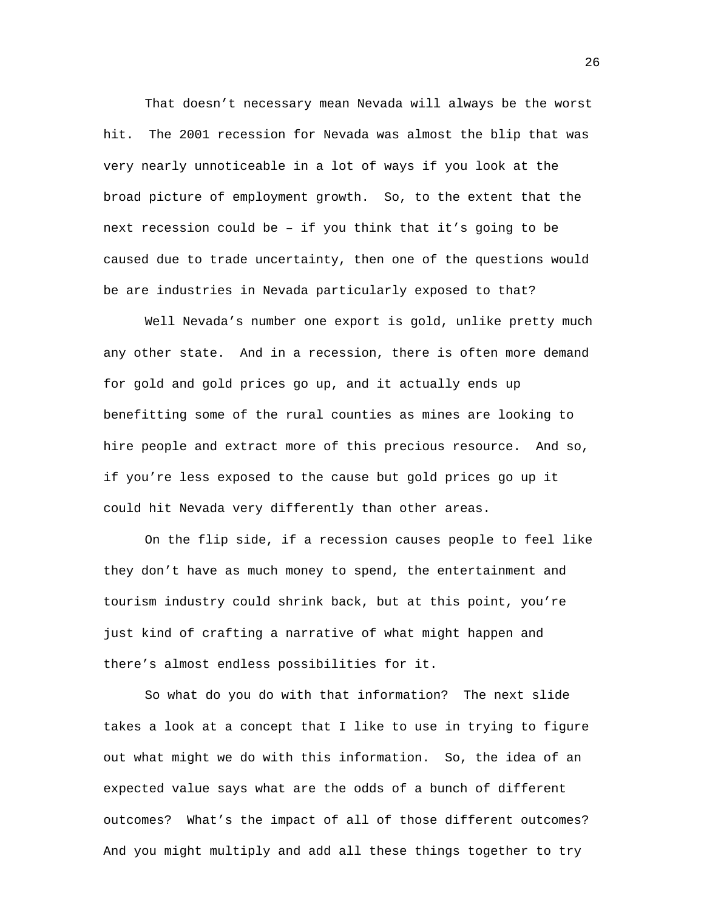That doesn't necessary mean Nevada will always be the worst hit. The 2001 recession for Nevada was almost the blip that was very nearly unnoticeable in a lot of ways if you look at the broad picture of employment growth. So, to the extent that the next recession could be – if you think that it's going to be caused due to trade uncertainty, then one of the questions would be are industries in Nevada particularly exposed to that?

Well Nevada's number one export is gold, unlike pretty much any other state. And in a recession, there is often more demand for gold and gold prices go up, and it actually ends up benefitting some of the rural counties as mines are looking to hire people and extract more of this precious resource. And so, if you're less exposed to the cause but gold prices go up it could hit Nevada very differently than other areas.

On the flip side, if a recession causes people to feel like they don't have as much money to spend, the entertainment and tourism industry could shrink back, but at this point, you're just kind of crafting a narrative of what might happen and there's almost endless possibilities for it.

So what do you do with that information? The next slide takes a look at a concept that I like to use in trying to figure out what might we do with this information. So, the idea of an expected value says what are the odds of a bunch of different outcomes? What's the impact of all of those different outcomes? And you might multiply and add all these things together to try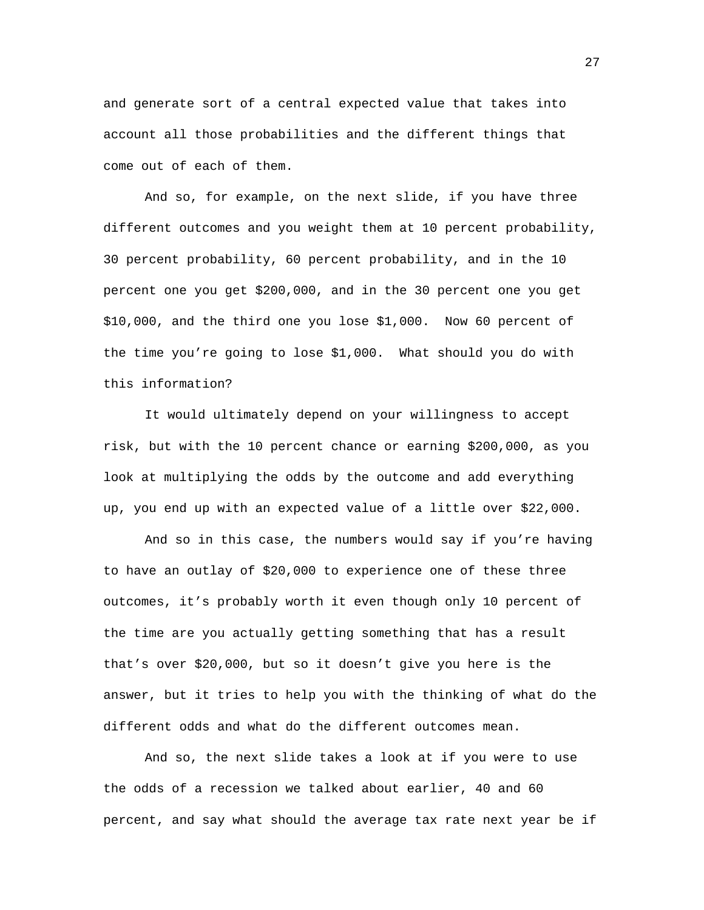and generate sort of a central expected value that takes into account all those probabilities and the different things that come out of each of them.

And so, for example, on the next slide, if you have three different outcomes and you weight them at 10 percent probability, 30 percent probability, 60 percent probability, and in the 10 percent one you get \$200,000, and in the 30 percent one you get \$10,000, and the third one you lose \$1,000. Now 60 percent of the time you're going to lose \$1,000. What should you do with this information?

It would ultimately depend on your willingness to accept risk, but with the 10 percent chance or earning \$200,000, as you look at multiplying the odds by the outcome and add everything up, you end up with an expected value of a little over \$22,000.

And so in this case, the numbers would say if you're having to have an outlay of \$20,000 to experience one of these three outcomes, it's probably worth it even though only 10 percent of the time are you actually getting something that has a result that's over \$20,000, but so it doesn't give you here is the answer, but it tries to help you with the thinking of what do the different odds and what do the different outcomes mean.

And so, the next slide takes a look at if you were to use the odds of a recession we talked about earlier, 40 and 60 percent, and say what should the average tax rate next year be if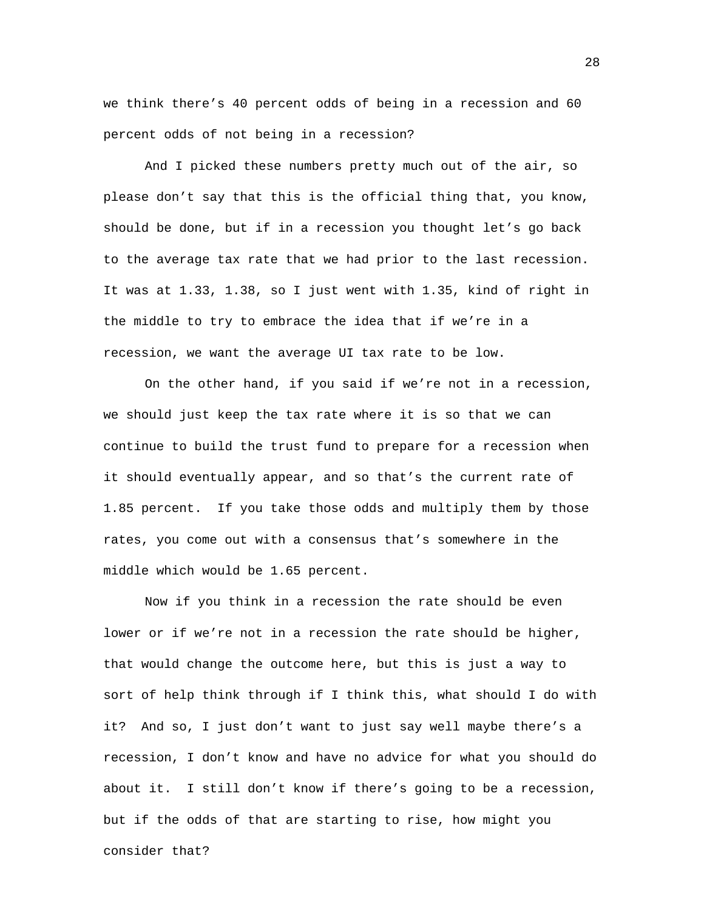we think there's 40 percent odds of being in a recession and 60 percent odds of not being in a recession?

And I picked these numbers pretty much out of the air, so please don't say that this is the official thing that, you know, should be done, but if in a recession you thought let's go back to the average tax rate that we had prior to the last recession. It was at 1.33, 1.38, so I just went with 1.35, kind of right in the middle to try to embrace the idea that if we're in a recession, we want the average UI tax rate to be low.

On the other hand, if you said if we're not in a recession, we should just keep the tax rate where it is so that we can continue to build the trust fund to prepare for a recession when it should eventually appear, and so that's the current rate of 1.85 percent. If you take those odds and multiply them by those rates, you come out with a consensus that's somewhere in the middle which would be 1.65 percent.

Now if you think in a recession the rate should be even lower or if we're not in a recession the rate should be higher, that would change the outcome here, but this is just a way to sort of help think through if I think this, what should I do with it? And so, I just don't want to just say well maybe there's a recession, I don't know and have no advice for what you should do about it. I still don't know if there's going to be a recession, but if the odds of that are starting to rise, how might you consider that?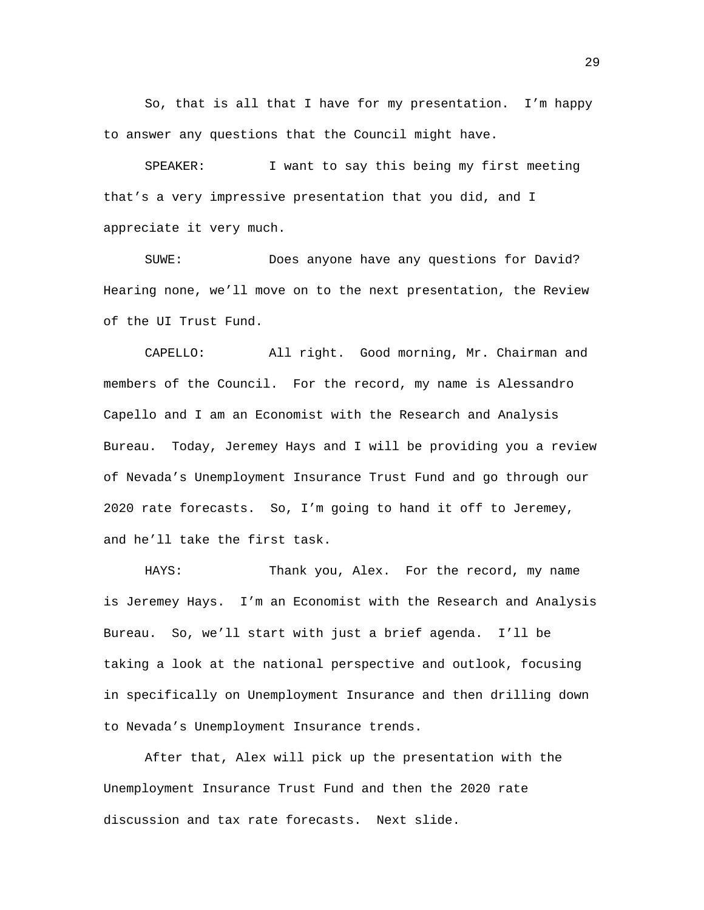So, that is all that I have for my presentation. I'm happy to answer any questions that the Council might have.

SPEAKER: I want to say this being my first meeting that's a very impressive presentation that you did, and I appreciate it very much.

SUWE: Does anyone have any questions for David? Hearing none, we'll move on to the next presentation, the Review of the UI Trust Fund.

CAPELLO: All right. Good morning, Mr. Chairman and members of the Council. For the record, my name is Alessandro Capello and I am an Economist with the Research and Analysis Bureau. Today, Jeremey Hays and I will be providing you a review of Nevada's Unemployment Insurance Trust Fund and go through our 2020 rate forecasts. So, I'm going to hand it off to Jeremey, and he'll take the first task.

HAYS: Thank you, Alex. For the record, my name is Jeremey Hays. I'm an Economist with the Research and Analysis Bureau. So, we'll start with just a brief agenda. I'll be taking a look at the national perspective and outlook, focusing in specifically on Unemployment Insurance and then drilling down to Nevada's Unemployment Insurance trends.

After that, Alex will pick up the presentation with the Unemployment Insurance Trust Fund and then the 2020 rate discussion and tax rate forecasts. Next slide.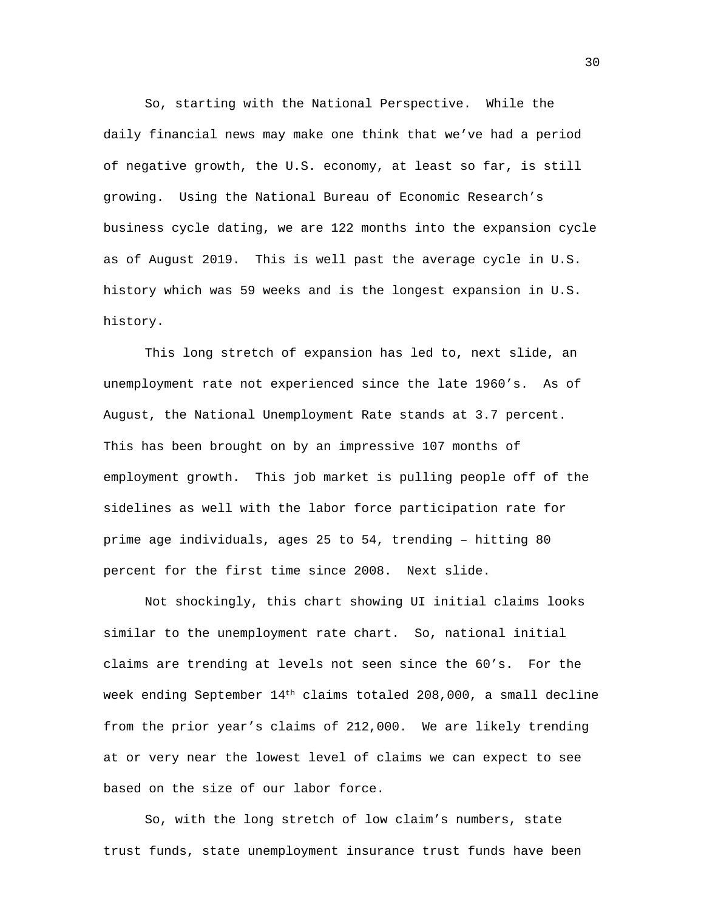So, starting with the National Perspective. While the daily financial news may make one think that we've had a period of negative growth, the U.S. economy, at least so far, is still growing. Using the National Bureau of Economic Research's business cycle dating, we are 122 months into the expansion cycle as of August 2019. This is well past the average cycle in U.S. history which was 59 weeks and is the longest expansion in U.S. history.

This long stretch of expansion has led to, next slide, an unemployment rate not experienced since the late 1960's. As of August, the National Unemployment Rate stands at 3.7 percent. This has been brought on by an impressive 107 months of employment growth. This job market is pulling people off of the sidelines as well with the labor force participation rate for prime age individuals, ages 25 to 54, trending – hitting 80 percent for the first time since 2008. Next slide.

Not shockingly, this chart showing UI initial claims looks similar to the unemployment rate chart. So, national initial claims are trending at levels not seen since the 60's. For the week ending September 14th claims totaled 208,000, a small decline from the prior year's claims of 212,000. We are likely trending at or very near the lowest level of claims we can expect to see based on the size of our labor force.

So, with the long stretch of low claim's numbers, state trust funds, state unemployment insurance trust funds have been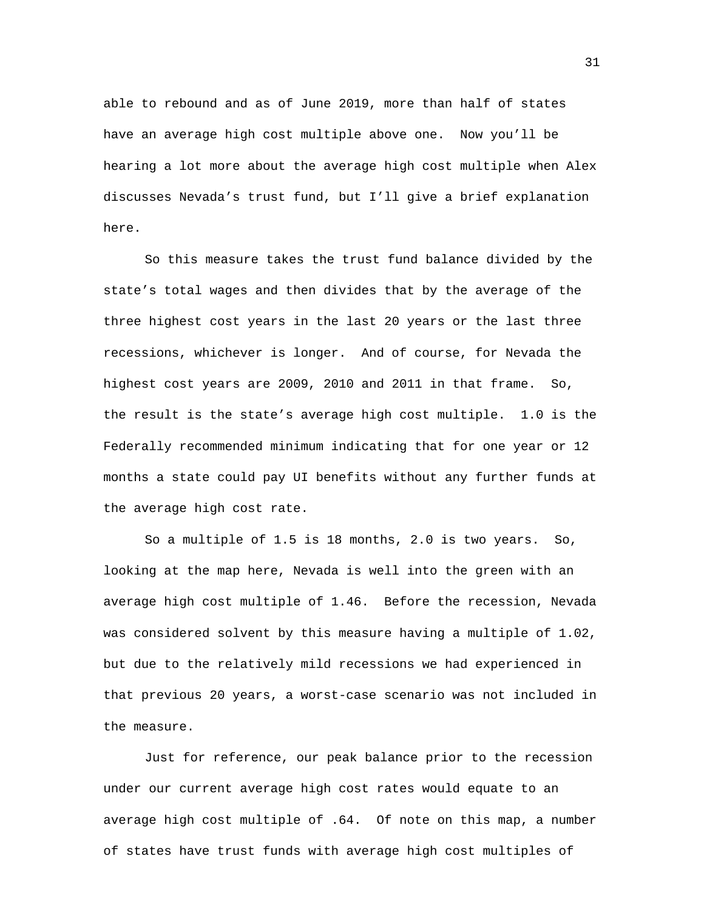able to rebound and as of June 2019, more than half of states have an average high cost multiple above one. Now you'll be hearing a lot more about the average high cost multiple when Alex discusses Nevada's trust fund, but I'll give a brief explanation here.

So this measure takes the trust fund balance divided by the state's total wages and then divides that by the average of the three highest cost years in the last 20 years or the last three recessions, whichever is longer. And of course, for Nevada the highest cost years are 2009, 2010 and 2011 in that frame. So, the result is the state's average high cost multiple. 1.0 is the Federally recommended minimum indicating that for one year or 12 months a state could pay UI benefits without any further funds at the average high cost rate.

So a multiple of 1.5 is 18 months, 2.0 is two years. So, looking at the map here, Nevada is well into the green with an average high cost multiple of 1.46. Before the recession, Nevada was considered solvent by this measure having a multiple of 1.02, but due to the relatively mild recessions we had experienced in that previous 20 years, a worst-case scenario was not included in the measure.

Just for reference, our peak balance prior to the recession under our current average high cost rates would equate to an average high cost multiple of .64. Of note on this map, a number of states have trust funds with average high cost multiples of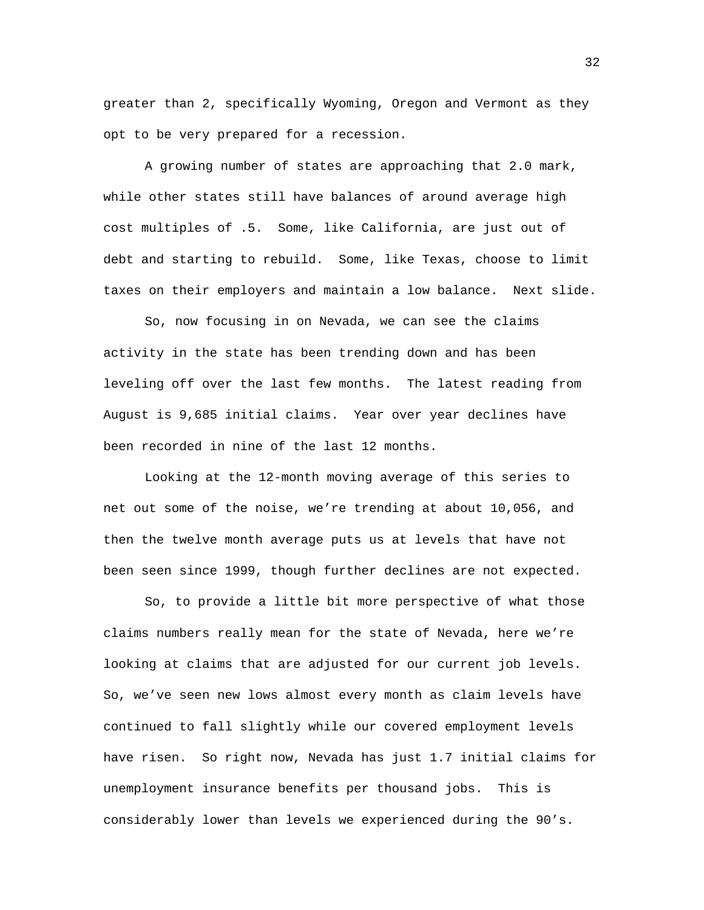greater than 2, specifically Wyoming, Oregon and Vermont as they opt to be very prepared for a recession.

A growing number of states are approaching that 2.0 mark, while other states still have balances of around average high cost multiples of .5. Some, like California, are just out of debt and starting to rebuild. Some, like Texas, choose to limit taxes on their employers and maintain a low balance. Next slide.

So, now focusing in on Nevada, we can see the claims activity in the state has been trending down and has been leveling off over the last few months. The latest reading from August is 9,685 initial claims. Year over year declines have been recorded in nine of the last 12 months.

Looking at the 12-month moving average of this series to net out some of the noise, we're trending at about 10,056, and then the twelve month average puts us at levels that have not been seen since 1999, though further declines are not expected.

So, to provide a little bit more perspective of what those claims numbers really mean for the state of Nevada, here we're looking at claims that are adjusted for our current job levels. So, we've seen new lows almost every month as claim levels have continued to fall slightly while our covered employment levels have risen. So right now, Nevada has just 1.7 initial claims for unemployment insurance benefits per thousand jobs. This is considerably lower than levels we experienced during the 90's.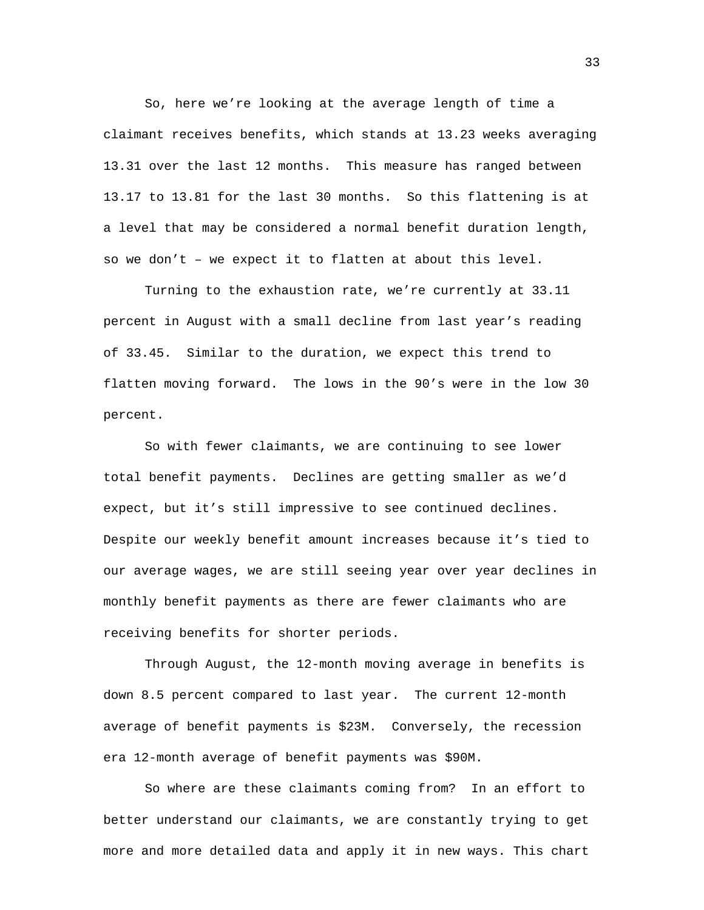So, here we're looking at the average length of time a claimant receives benefits, which stands at 13.23 weeks averaging 13.31 over the last 12 months. This measure has ranged between 13.17 to 13.81 for the last 30 months. So this flattening is at a level that may be considered a normal benefit duration length, so we don't – we expect it to flatten at about this level.

Turning to the exhaustion rate, we're currently at 33.11 percent in August with a small decline from last year's reading of 33.45. Similar to the duration, we expect this trend to flatten moving forward. The lows in the 90's were in the low 30 percent.

So with fewer claimants, we are continuing to see lower total benefit payments. Declines are getting smaller as we'd expect, but it's still impressive to see continued declines. Despite our weekly benefit amount increases because it's tied to our average wages, we are still seeing year over year declines in monthly benefit payments as there are fewer claimants who are receiving benefits for shorter periods.

Through August, the 12-month moving average in benefits is down 8.5 percent compared to last year. The current 12-month average of benefit payments is \$23M. Conversely, the recession era 12-month average of benefit payments was \$90M.

So where are these claimants coming from? In an effort to better understand our claimants, we are constantly trying to get more and more detailed data and apply it in new ways. This chart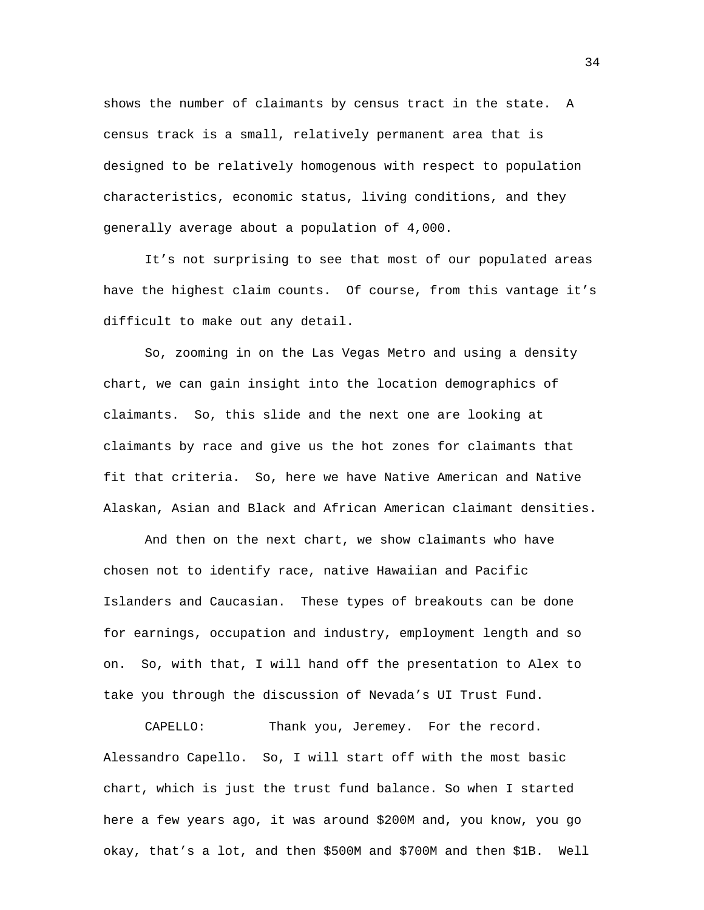shows the number of claimants by census tract in the state. A census track is a small, relatively permanent area that is designed to be relatively homogenous with respect to population characteristics, economic status, living conditions, and they generally average about a population of 4,000.

It's not surprising to see that most of our populated areas have the highest claim counts. Of course, from this vantage it's difficult to make out any detail.

So, zooming in on the Las Vegas Metro and using a density chart, we can gain insight into the location demographics of claimants. So, this slide and the next one are looking at claimants by race and give us the hot zones for claimants that fit that criteria. So, here we have Native American and Native Alaskan, Asian and Black and African American claimant densities.

And then on the next chart, we show claimants who have chosen not to identify race, native Hawaiian and Pacific Islanders and Caucasian. These types of breakouts can be done for earnings, occupation and industry, employment length and so on. So, with that, I will hand off the presentation to Alex to take you through the discussion of Nevada's UI Trust Fund.

CAPELLO: Thank you, Jeremey. For the record. Alessandro Capello. So, I will start off with the most basic chart, which is just the trust fund balance. So when I started here a few years ago, it was around \$200M and, you know, you go okay, that's a lot, and then \$500M and \$700M and then \$1B. Well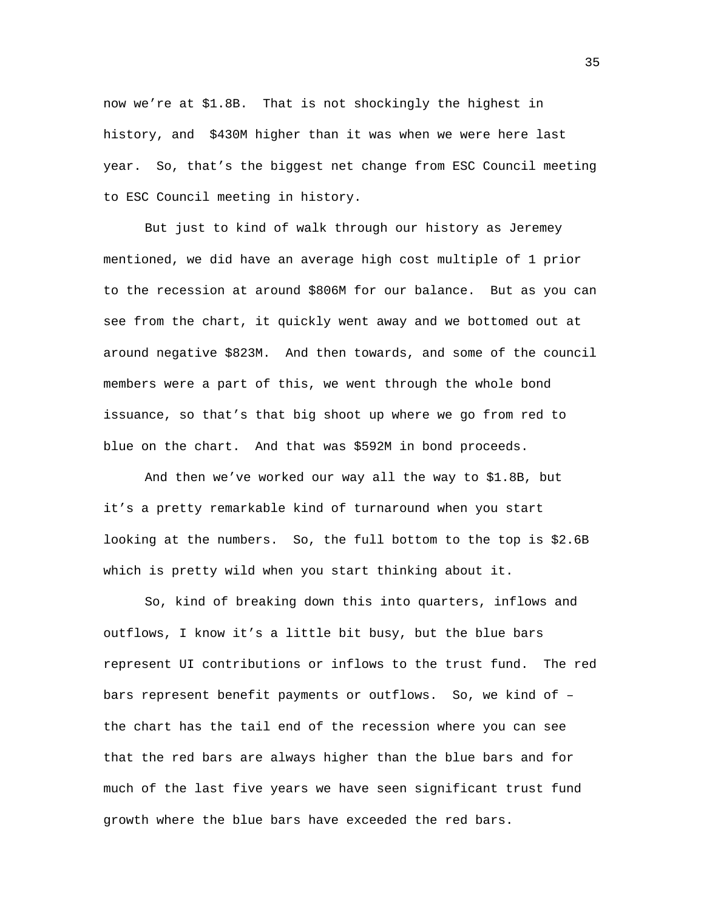now we're at \$1.8B. That is not shockingly the highest in history, and \$430M higher than it was when we were here last year. So, that's the biggest net change from ESC Council meeting to ESC Council meeting in history.

But just to kind of walk through our history as Jeremey mentioned, we did have an average high cost multiple of 1 prior to the recession at around \$806M for our balance. But as you can see from the chart, it quickly went away and we bottomed out at around negative \$823M. And then towards, and some of the council members were a part of this, we went through the whole bond issuance, so that's that big shoot up where we go from red to blue on the chart. And that was \$592M in bond proceeds.

And then we've worked our way all the way to \$1.8B, but it's a pretty remarkable kind of turnaround when you start looking at the numbers. So, the full bottom to the top is \$2.6B which is pretty wild when you start thinking about it.

So, kind of breaking down this into quarters, inflows and outflows, I know it's a little bit busy, but the blue bars represent UI contributions or inflows to the trust fund. The red bars represent benefit payments or outflows. So, we kind of – the chart has the tail end of the recession where you can see that the red bars are always higher than the blue bars and for much of the last five years we have seen significant trust fund growth where the blue bars have exceeded the red bars.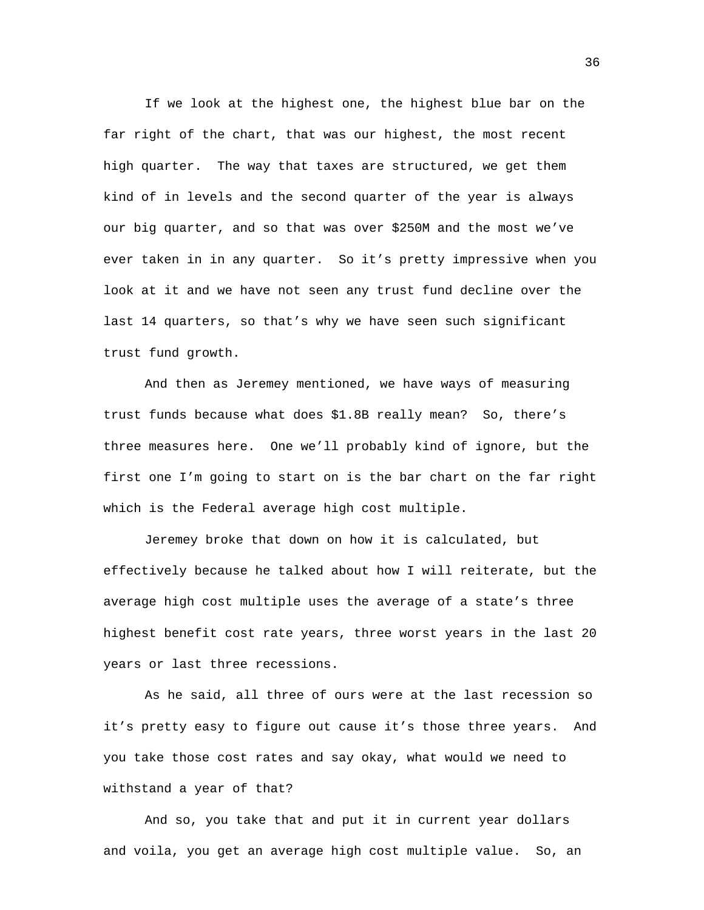If we look at the highest one, the highest blue bar on the far right of the chart, that was our highest, the most recent high quarter. The way that taxes are structured, we get them kind of in levels and the second quarter of the year is always our big quarter, and so that was over \$250M and the most we've ever taken in in any quarter. So it's pretty impressive when you look at it and we have not seen any trust fund decline over the last 14 quarters, so that's why we have seen such significant trust fund growth.

And then as Jeremey mentioned, we have ways of measuring trust funds because what does \$1.8B really mean? So, there's three measures here. One we'll probably kind of ignore, but the first one I'm going to start on is the bar chart on the far right which is the Federal average high cost multiple.

Jeremey broke that down on how it is calculated, but effectively because he talked about how I will reiterate, but the average high cost multiple uses the average of a state's three highest benefit cost rate years, three worst years in the last 20 years or last three recessions.

As he said, all three of ours were at the last recession so it's pretty easy to figure out cause it's those three years. And you take those cost rates and say okay, what would we need to withstand a year of that?

And so, you take that and put it in current year dollars and voila, you get an average high cost multiple value. So, an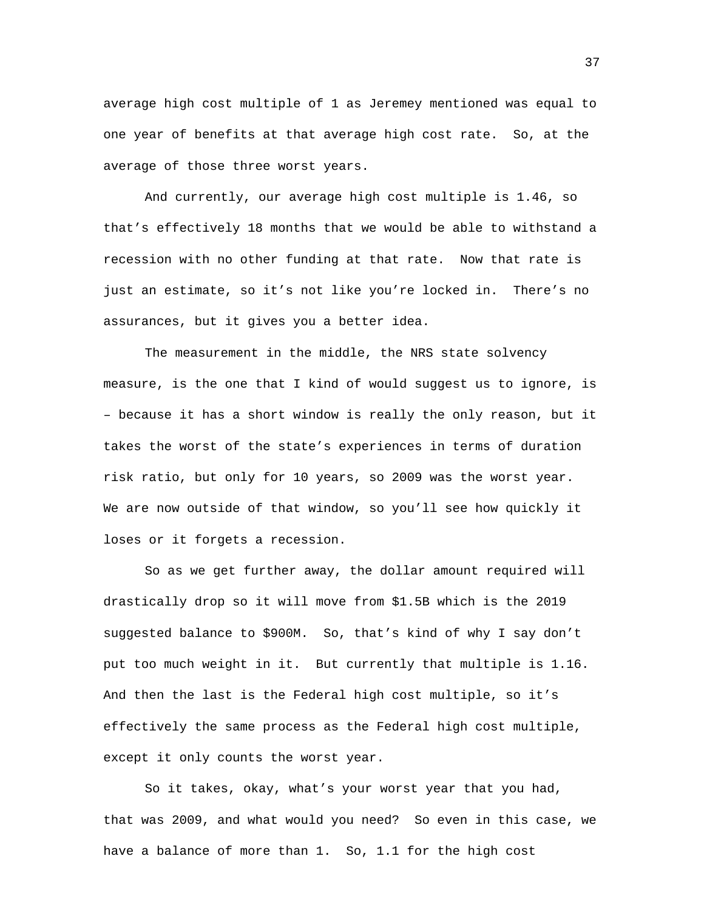average high cost multiple of 1 as Jeremey mentioned was equal to one year of benefits at that average high cost rate. So, at the average of those three worst years.

And currently, our average high cost multiple is 1.46, so that's effectively 18 months that we would be able to withstand a recession with no other funding at that rate. Now that rate is just an estimate, so it's not like you're locked in. There's no assurances, but it gives you a better idea.

The measurement in the middle, the NRS state solvency measure, is the one that I kind of would suggest us to ignore, is – because it has a short window is really the only reason, but it takes the worst of the state's experiences in terms of duration risk ratio, but only for 10 years, so 2009 was the worst year. We are now outside of that window, so you'll see how quickly it loses or it forgets a recession.

So as we get further away, the dollar amount required will drastically drop so it will move from \$1.5B which is the 2019 suggested balance to \$900M. So, that's kind of why I say don't put too much weight in it. But currently that multiple is 1.16. And then the last is the Federal high cost multiple, so it's effectively the same process as the Federal high cost multiple, except it only counts the worst year.

So it takes, okay, what's your worst year that you had, that was 2009, and what would you need? So even in this case, we have a balance of more than 1. So, 1.1 for the high cost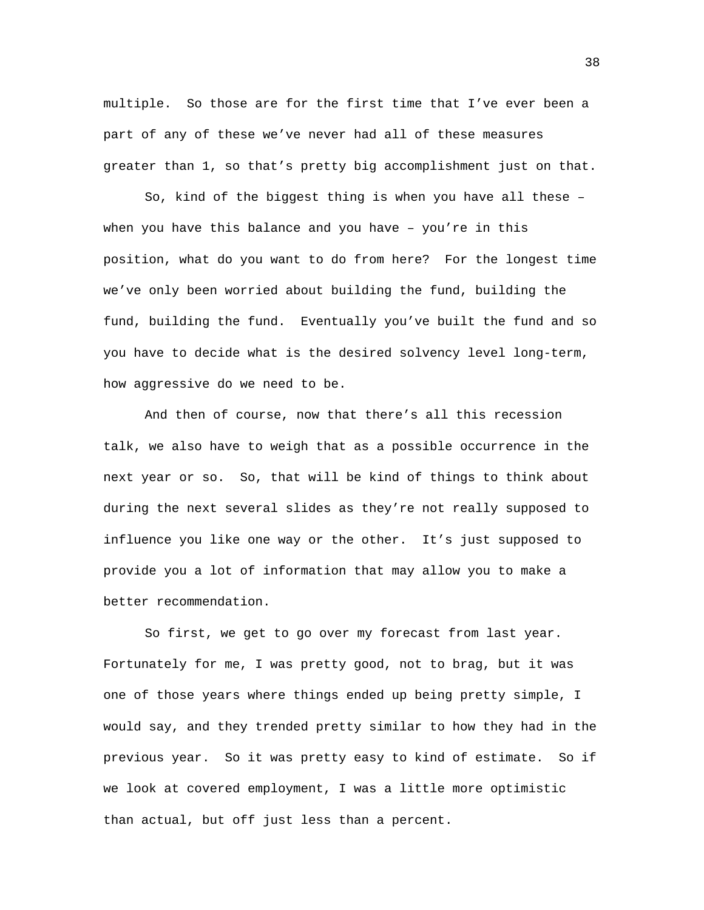multiple. So those are for the first time that I've ever been a part of any of these we've never had all of these measures greater than 1, so that's pretty big accomplishment just on that.

So, kind of the biggest thing is when you have all these – when you have this balance and you have – you're in this position, what do you want to do from here? For the longest time we've only been worried about building the fund, building the fund, building the fund. Eventually you've built the fund and so you have to decide what is the desired solvency level long-term, how aggressive do we need to be.

And then of course, now that there's all this recession talk, we also have to weigh that as a possible occurrence in the next year or so. So, that will be kind of things to think about during the next several slides as they're not really supposed to influence you like one way or the other. It's just supposed to provide you a lot of information that may allow you to make a better recommendation.

So first, we get to go over my forecast from last year. Fortunately for me, I was pretty good, not to brag, but it was one of those years where things ended up being pretty simple, I would say, and they trended pretty similar to how they had in the previous year. So it was pretty easy to kind of estimate. So if we look at covered employment, I was a little more optimistic than actual, but off just less than a percent.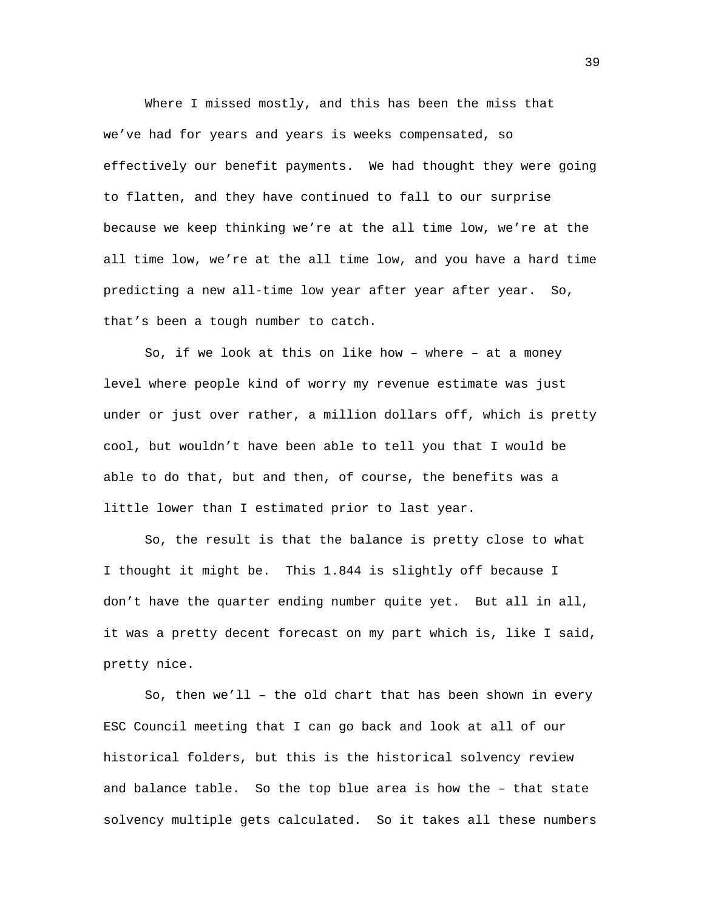Where I missed mostly, and this has been the miss that we've had for years and years is weeks compensated, so effectively our benefit payments. We had thought they were going to flatten, and they have continued to fall to our surprise because we keep thinking we're at the all time low, we're at the all time low, we're at the all time low, and you have a hard time predicting a new all-time low year after year after year. So, that's been a tough number to catch.

So, if we look at this on like how – where – at a money level where people kind of worry my revenue estimate was just under or just over rather, a million dollars off, which is pretty cool, but wouldn't have been able to tell you that I would be able to do that, but and then, of course, the benefits was a little lower than I estimated prior to last year.

So, the result is that the balance is pretty close to what I thought it might be. This 1.844 is slightly off because I don't have the quarter ending number quite yet. But all in all, it was a pretty decent forecast on my part which is, like I said, pretty nice.

So, then we'll – the old chart that has been shown in every ESC Council meeting that I can go back and look at all of our historical folders, but this is the historical solvency review and balance table. So the top blue area is how the – that state solvency multiple gets calculated. So it takes all these numbers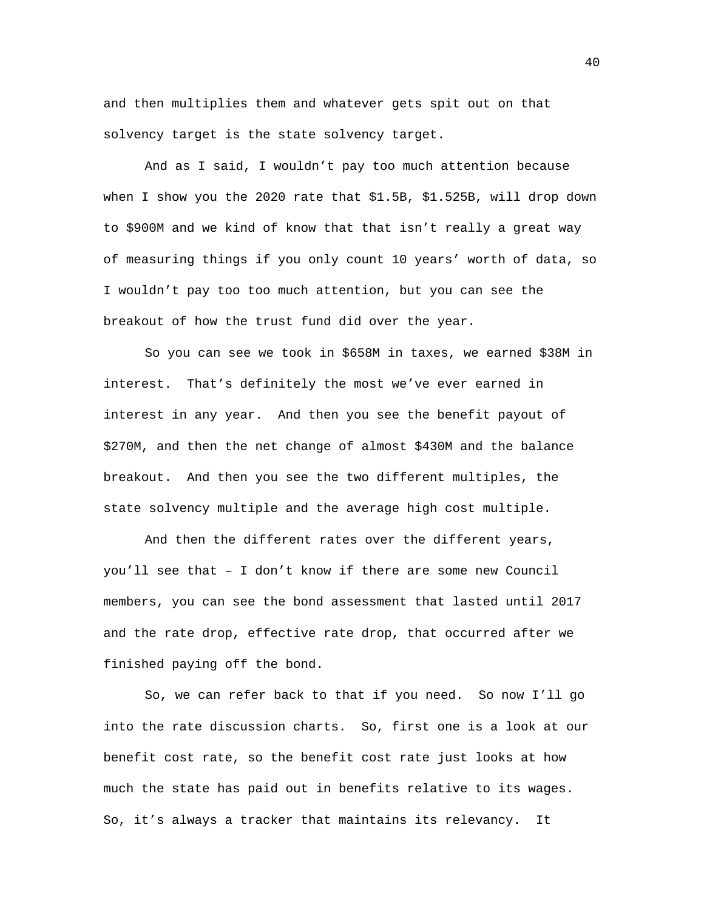and then multiplies them and whatever gets spit out on that solvency target is the state solvency target.

And as I said, I wouldn't pay too much attention because when I show you the 2020 rate that \$1.5B, \$1.525B, will drop down to \$900M and we kind of know that that isn't really a great way of measuring things if you only count 10 years' worth of data, so I wouldn't pay too too much attention, but you can see the breakout of how the trust fund did over the year.

So you can see we took in \$658M in taxes, we earned \$38M in interest. That's definitely the most we've ever earned in interest in any year. And then you see the benefit payout of \$270M, and then the net change of almost \$430M and the balance breakout. And then you see the two different multiples, the state solvency multiple and the average high cost multiple.

And then the different rates over the different years, you'll see that – I don't know if there are some new Council members, you can see the bond assessment that lasted until 2017 and the rate drop, effective rate drop, that occurred after we finished paying off the bond.

So, we can refer back to that if you need. So now I'll go into the rate discussion charts. So, first one is a look at our benefit cost rate, so the benefit cost rate just looks at how much the state has paid out in benefits relative to its wages. So, it's always a tracker that maintains its relevancy. It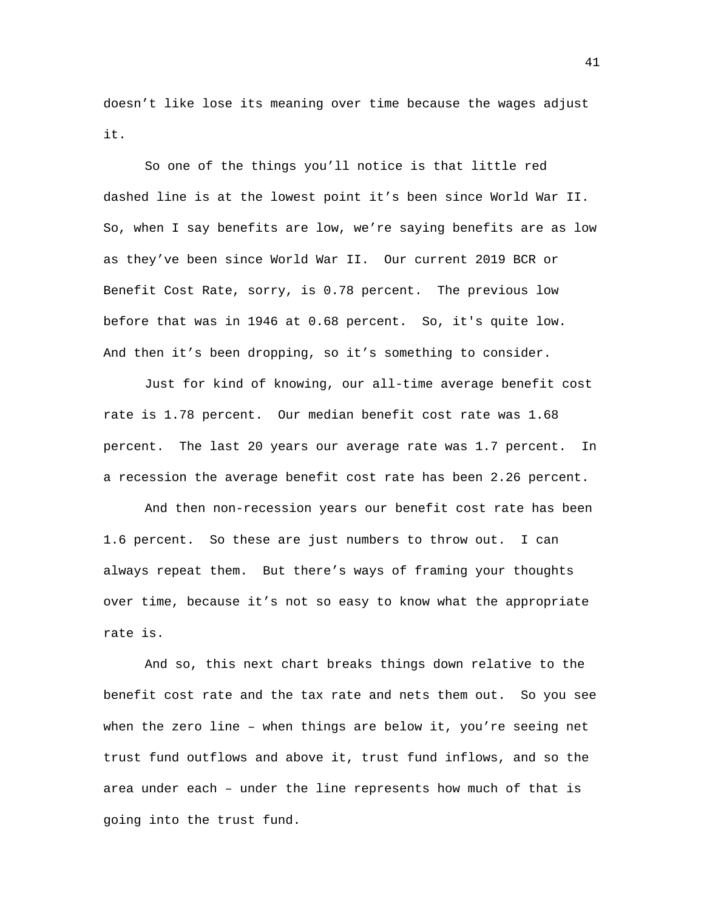doesn't like lose its meaning over time because the wages adjust it.

So one of the things you'll notice is that little red dashed line is at the lowest point it's been since World War II. So, when I say benefits are low, we're saying benefits are as low as they've been since World War II. Our current 2019 BCR or Benefit Cost Rate, sorry, is 0.78 percent. The previous low before that was in 1946 at 0.68 percent. So, it's quite low. And then it's been dropping, so it's something to consider.

Just for kind of knowing, our all-time average benefit cost rate is 1.78 percent. Our median benefit cost rate was 1.68 percent. The last 20 years our average rate was 1.7 percent. In a recession the average benefit cost rate has been 2.26 percent.

And then non-recession years our benefit cost rate has been 1.6 percent. So these are just numbers to throw out. I can always repeat them. But there's ways of framing your thoughts over time, because it's not so easy to know what the appropriate rate is.

And so, this next chart breaks things down relative to the benefit cost rate and the tax rate and nets them out. So you see when the zero line – when things are below it, you're seeing net trust fund outflows and above it, trust fund inflows, and so the area under each – under the line represents how much of that is going into the trust fund.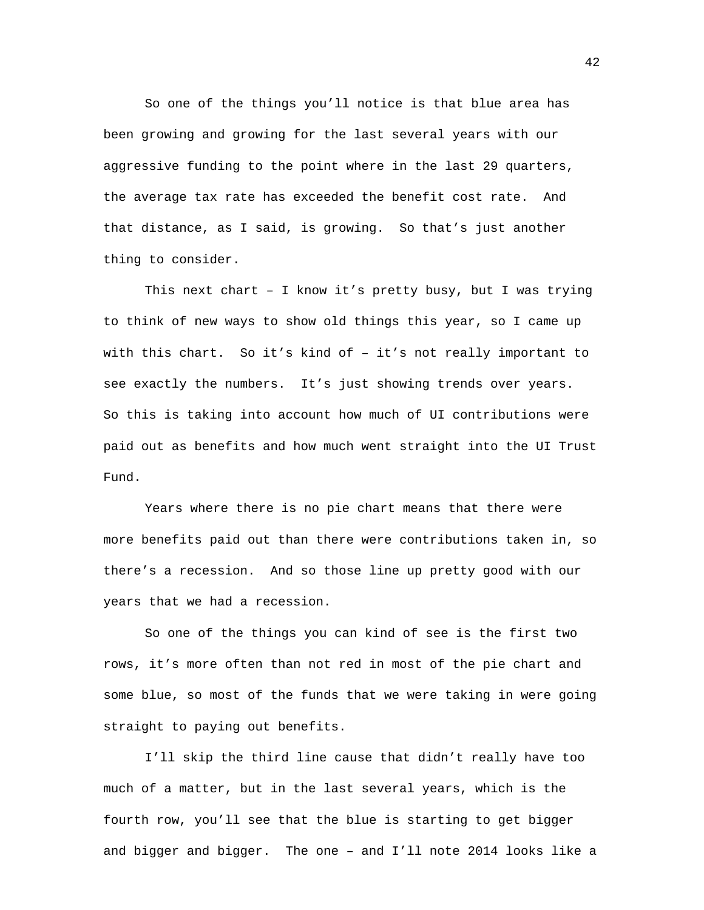So one of the things you'll notice is that blue area has been growing and growing for the last several years with our aggressive funding to the point where in the last 29 quarters, the average tax rate has exceeded the benefit cost rate. And that distance, as I said, is growing. So that's just another thing to consider.

This next chart – I know it's pretty busy, but I was trying to think of new ways to show old things this year, so I came up with this chart. So it's kind of – it's not really important to see exactly the numbers. It's just showing trends over years. So this is taking into account how much of UI contributions were paid out as benefits and how much went straight into the UI Trust Fund.

Years where there is no pie chart means that there were more benefits paid out than there were contributions taken in, so there's a recession. And so those line up pretty good with our years that we had a recession.

So one of the things you can kind of see is the first two rows, it's more often than not red in most of the pie chart and some blue, so most of the funds that we were taking in were going straight to paying out benefits.

I'll skip the third line cause that didn't really have too much of a matter, but in the last several years, which is the fourth row, you'll see that the blue is starting to get bigger and bigger and bigger. The one – and I'll note 2014 looks like a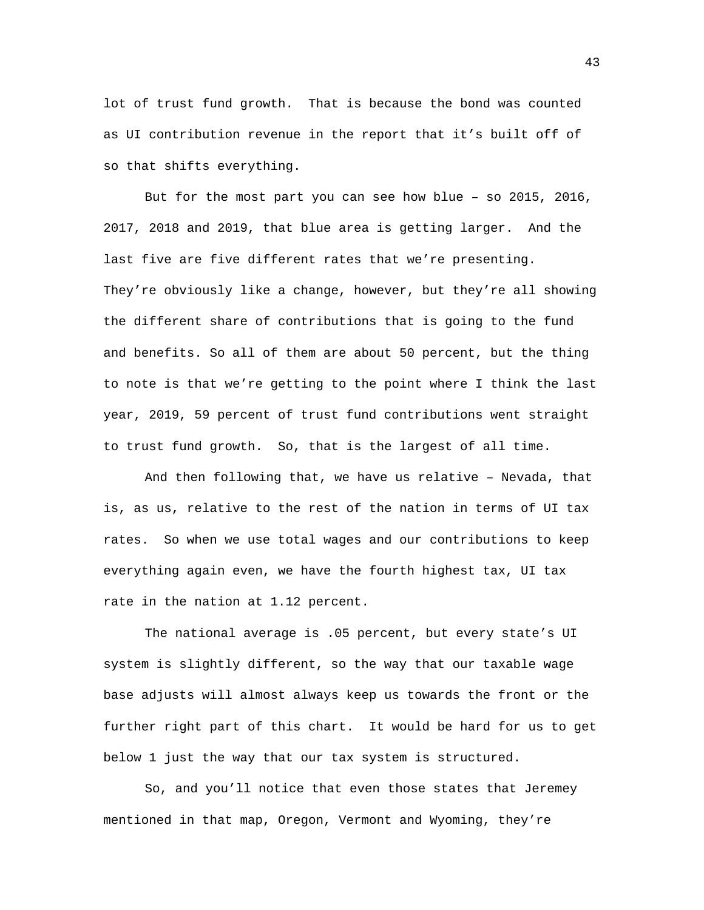lot of trust fund growth. That is because the bond was counted as UI contribution revenue in the report that it's built off of so that shifts everything.

But for the most part you can see how blue – so 2015, 2016, 2017, 2018 and 2019, that blue area is getting larger. And the last five are five different rates that we're presenting. They're obviously like a change, however, but they're all showing the different share of contributions that is going to the fund and benefits. So all of them are about 50 percent, but the thing to note is that we're getting to the point where I think the last year, 2019, 59 percent of trust fund contributions went straight to trust fund growth. So, that is the largest of all time.

And then following that, we have us relative – Nevada, that is, as us, relative to the rest of the nation in terms of UI tax rates. So when we use total wages and our contributions to keep everything again even, we have the fourth highest tax, UI tax rate in the nation at 1.12 percent.

The national average is .05 percent, but every state's UI system is slightly different, so the way that our taxable wage base adjusts will almost always keep us towards the front or the further right part of this chart. It would be hard for us to get below 1 just the way that our tax system is structured.

So, and you'll notice that even those states that Jeremey mentioned in that map, Oregon, Vermont and Wyoming, they're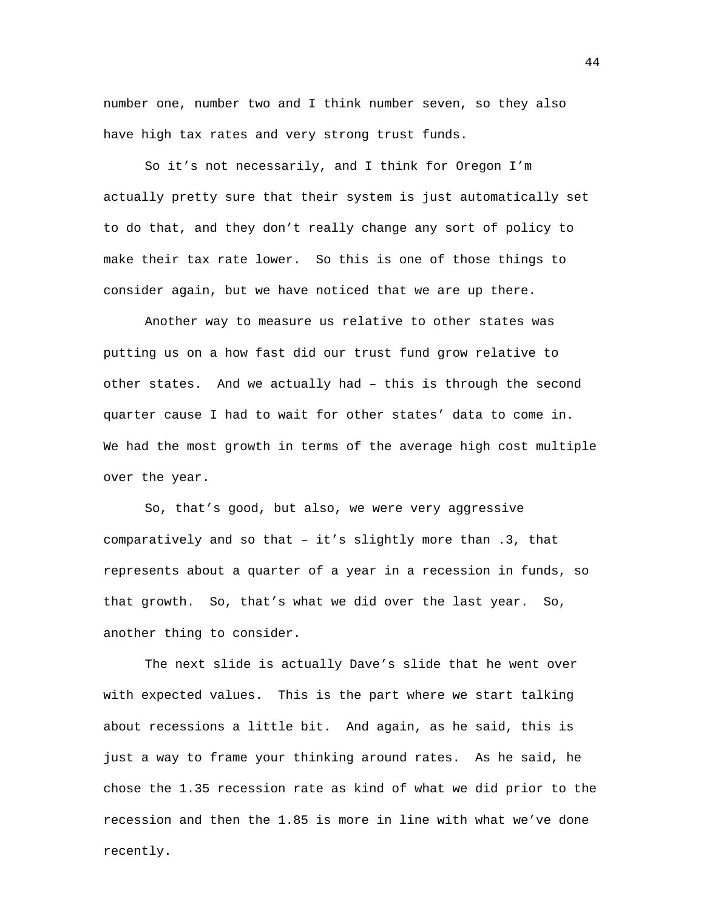number one, number two and I think number seven, so they also have high tax rates and very strong trust funds.

So it's not necessarily, and I think for Oregon I'm actually pretty sure that their system is just automatically set to do that, and they don't really change any sort of policy to make their tax rate lower. So this is one of those things to consider again, but we have noticed that we are up there.

Another way to measure us relative to other states was putting us on a how fast did our trust fund grow relative to other states. And we actually had – this is through the second quarter cause I had to wait for other states' data to come in. We had the most growth in terms of the average high cost multiple over the year.

So, that's good, but also, we were very aggressive comparatively and so that – it's slightly more than .3, that represents about a quarter of a year in a recession in funds, so that growth. So, that's what we did over the last year. So, another thing to consider.

The next slide is actually Dave's slide that he went over with expected values. This is the part where we start talking about recessions a little bit. And again, as he said, this is just a way to frame your thinking around rates. As he said, he chose the 1.35 recession rate as kind of what we did prior to the recession and then the 1.85 is more in line with what we've done recently.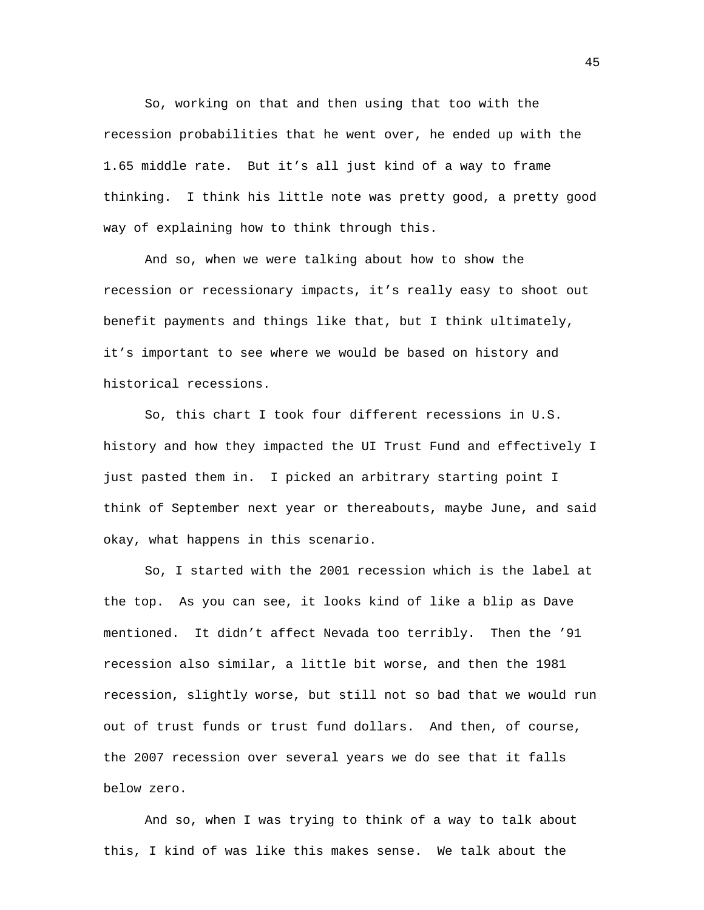So, working on that and then using that too with the recession probabilities that he went over, he ended up with the 1.65 middle rate. But it's all just kind of a way to frame thinking. I think his little note was pretty good, a pretty good way of explaining how to think through this.

And so, when we were talking about how to show the recession or recessionary impacts, it's really easy to shoot out benefit payments and things like that, but I think ultimately, it's important to see where we would be based on history and historical recessions.

So, this chart I took four different recessions in U.S. history and how they impacted the UI Trust Fund and effectively I just pasted them in. I picked an arbitrary starting point I think of September next year or thereabouts, maybe June, and said okay, what happens in this scenario.

So, I started with the 2001 recession which is the label at the top. As you can see, it looks kind of like a blip as Dave mentioned. It didn't affect Nevada too terribly. Then the '91 recession also similar, a little bit worse, and then the 1981 recession, slightly worse, but still not so bad that we would run out of trust funds or trust fund dollars. And then, of course, the 2007 recession over several years we do see that it falls below zero.

And so, when I was trying to think of a way to talk about this, I kind of was like this makes sense. We talk about the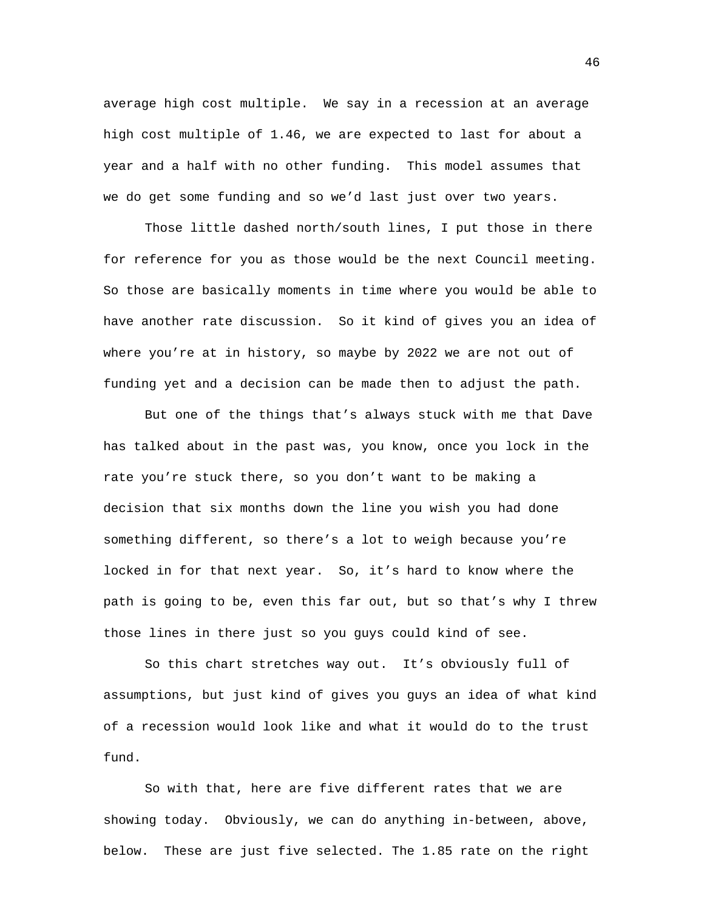average high cost multiple. We say in a recession at an average high cost multiple of 1.46, we are expected to last for about a year and a half with no other funding. This model assumes that we do get some funding and so we'd last just over two years.

Those little dashed north/south lines, I put those in there for reference for you as those would be the next Council meeting. So those are basically moments in time where you would be able to have another rate discussion. So it kind of gives you an idea of where you're at in history, so maybe by 2022 we are not out of funding yet and a decision can be made then to adjust the path.

But one of the things that's always stuck with me that Dave has talked about in the past was, you know, once you lock in the rate you're stuck there, so you don't want to be making a decision that six months down the line you wish you had done something different, so there's a lot to weigh because you're locked in for that next year. So, it's hard to know where the path is going to be, even this far out, but so that's why I threw those lines in there just so you guys could kind of see.

So this chart stretches way out. It's obviously full of assumptions, but just kind of gives you guys an idea of what kind of a recession would look like and what it would do to the trust fund.

So with that, here are five different rates that we are showing today. Obviously, we can do anything in-between, above, below. These are just five selected. The 1.85 rate on the right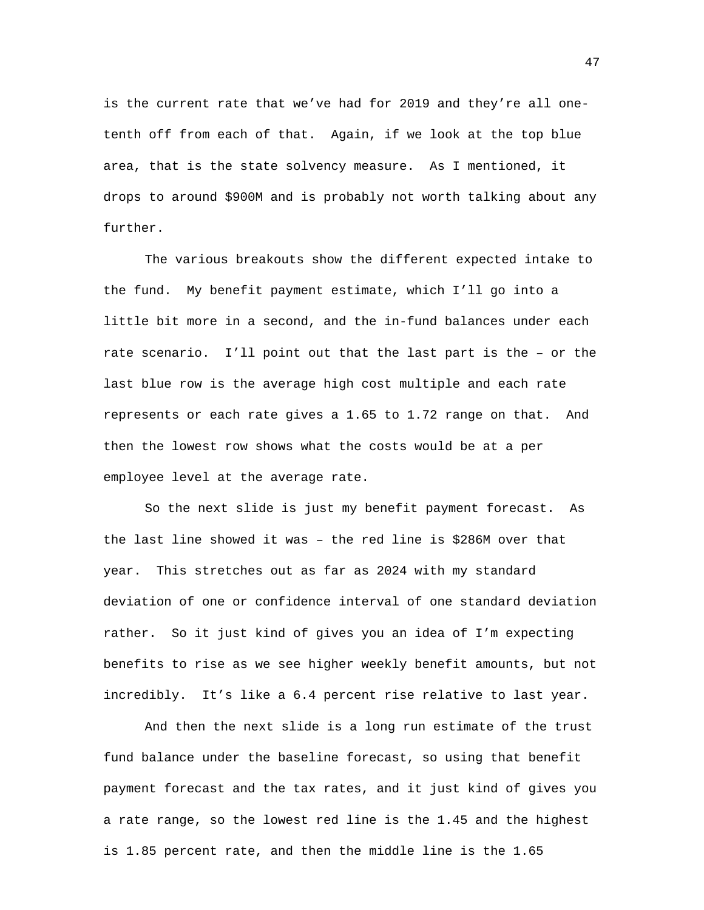is the current rate that we've had for 2019 and they're all onetenth off from each of that. Again, if we look at the top blue area, that is the state solvency measure. As I mentioned, it drops to around \$900M and is probably not worth talking about any further.

The various breakouts show the different expected intake to the fund. My benefit payment estimate, which I'll go into a little bit more in a second, and the in-fund balances under each rate scenario. I'll point out that the last part is the – or the last blue row is the average high cost multiple and each rate represents or each rate gives a 1.65 to 1.72 range on that. And then the lowest row shows what the costs would be at a per employee level at the average rate.

So the next slide is just my benefit payment forecast. As the last line showed it was – the red line is \$286M over that year. This stretches out as far as 2024 with my standard deviation of one or confidence interval of one standard deviation rather. So it just kind of gives you an idea of I'm expecting benefits to rise as we see higher weekly benefit amounts, but not incredibly. It's like a 6.4 percent rise relative to last year.

And then the next slide is a long run estimate of the trust fund balance under the baseline forecast, so using that benefit payment forecast and the tax rates, and it just kind of gives you a rate range, so the lowest red line is the 1.45 and the highest is 1.85 percent rate, and then the middle line is the 1.65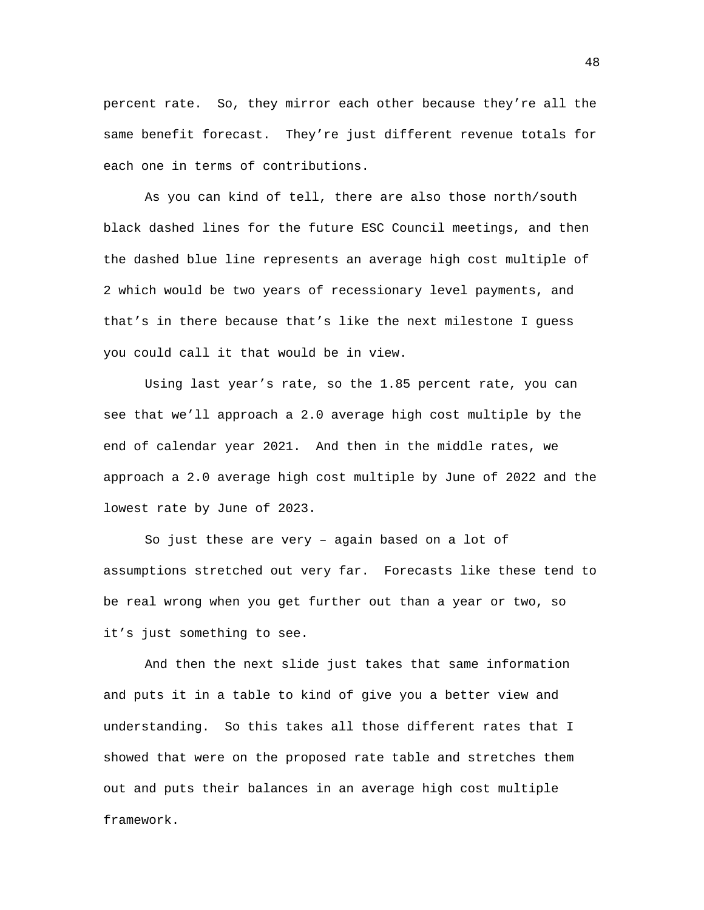percent rate. So, they mirror each other because they're all the same benefit forecast. They're just different revenue totals for each one in terms of contributions.

As you can kind of tell, there are also those north/south black dashed lines for the future ESC Council meetings, and then the dashed blue line represents an average high cost multiple of 2 which would be two years of recessionary level payments, and that's in there because that's like the next milestone I guess you could call it that would be in view.

Using last year's rate, so the 1.85 percent rate, you can see that we'll approach a 2.0 average high cost multiple by the end of calendar year 2021. And then in the middle rates, we approach a 2.0 average high cost multiple by June of 2022 and the lowest rate by June of 2023.

So just these are very – again based on a lot of assumptions stretched out very far. Forecasts like these tend to be real wrong when you get further out than a year or two, so it's just something to see.

And then the next slide just takes that same information and puts it in a table to kind of give you a better view and understanding. So this takes all those different rates that I showed that were on the proposed rate table and stretches them out and puts their balances in an average high cost multiple framework.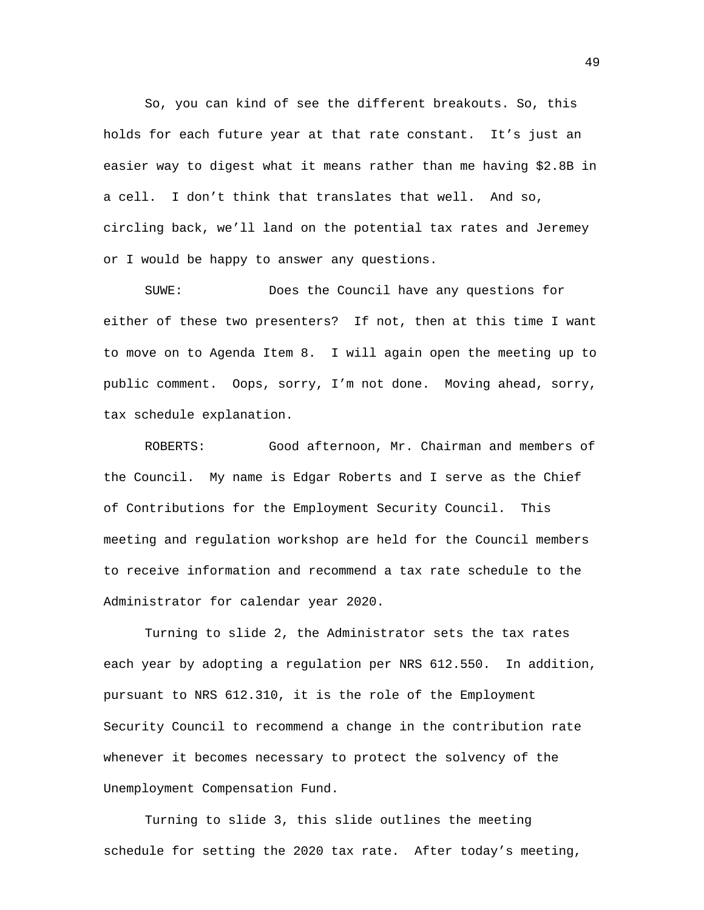So, you can kind of see the different breakouts. So, this holds for each future year at that rate constant. It's just an easier way to digest what it means rather than me having \$2.8B in a cell. I don't think that translates that well. And so, circling back, we'll land on the potential tax rates and Jeremey or I would be happy to answer any questions.

SUWE: Does the Council have any questions for either of these two presenters? If not, then at this time I want to move on to Agenda Item 8. I will again open the meeting up to public comment. Oops, sorry, I'm not done. Moving ahead, sorry, tax schedule explanation.

ROBERTS: Good afternoon, Mr. Chairman and members of the Council. My name is Edgar Roberts and I serve as the Chief of Contributions for the Employment Security Council. This meeting and regulation workshop are held for the Council members to receive information and recommend a tax rate schedule to the Administrator for calendar year 2020.

Turning to slide 2, the Administrator sets the tax rates each year by adopting a regulation per NRS 612.550. In addition, pursuant to NRS 612.310, it is the role of the Employment Security Council to recommend a change in the contribution rate whenever it becomes necessary to protect the solvency of the Unemployment Compensation Fund.

Turning to slide 3, this slide outlines the meeting schedule for setting the 2020 tax rate. After today's meeting,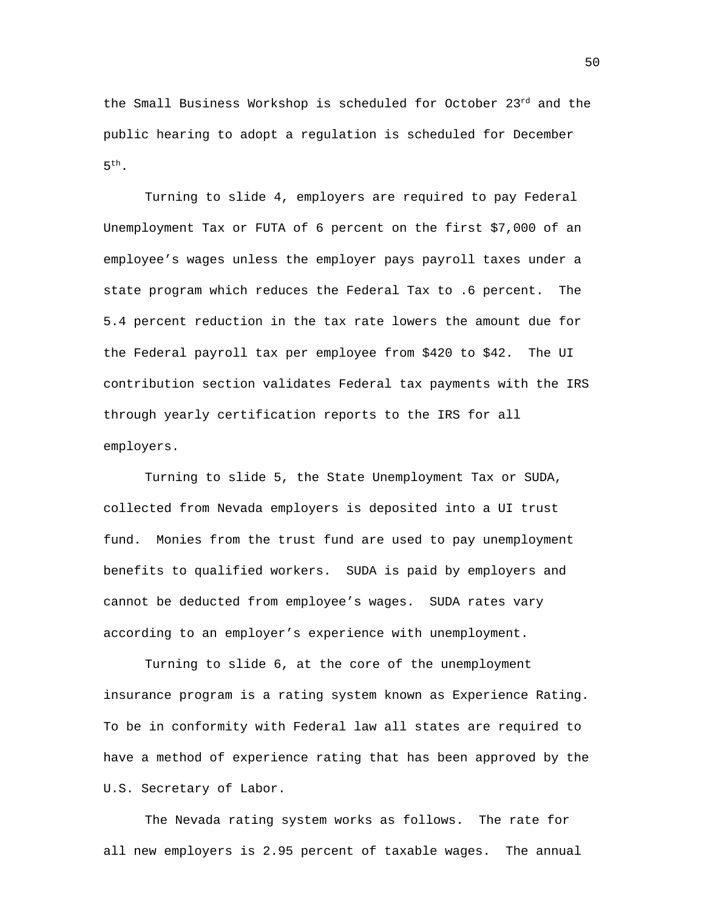the Small Business Workshop is scheduled for October 23rd and the public hearing to adopt a regulation is scheduled for December  $5<sup>th</sup>$ .

Turning to slide 4, employers are required to pay Federal Unemployment Tax or FUTA of 6 percent on the first \$7,000 of an employee's wages unless the employer pays payroll taxes under a state program which reduces the Federal Tax to .6 percent. The 5.4 percent reduction in the tax rate lowers the amount due for the Federal payroll tax per employee from \$420 to \$42. The UI contribution section validates Federal tax payments with the IRS through yearly certification reports to the IRS for all employers.

Turning to slide 5, the State Unemployment Tax or SUDA, collected from Nevada employers is deposited into a UI trust fund. Monies from the trust fund are used to pay unemployment benefits to qualified workers. SUDA is paid by employers and cannot be deducted from employee's wages. SUDA rates vary according to an employer's experience with unemployment.

Turning to slide 6, at the core of the unemployment insurance program is a rating system known as Experience Rating. To be in conformity with Federal law all states are required to have a method of experience rating that has been approved by the U.S. Secretary of Labor.

The Nevada rating system works as follows. The rate for all new employers is 2.95 percent of taxable wages. The annual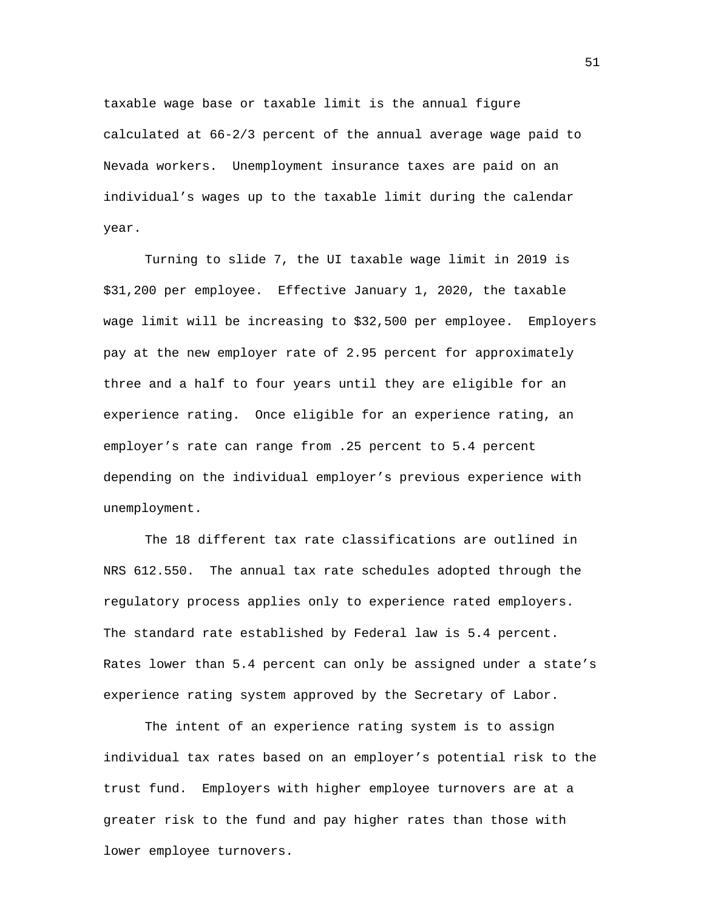taxable wage base or taxable limit is the annual figure calculated at 66-2/3 percent of the annual average wage paid to Nevada workers. Unemployment insurance taxes are paid on an individual's wages up to the taxable limit during the calendar year.

Turning to slide 7, the UI taxable wage limit in 2019 is \$31,200 per employee. Effective January 1, 2020, the taxable wage limit will be increasing to \$32,500 per employee. Employers pay at the new employer rate of 2.95 percent for approximately three and a half to four years until they are eligible for an experience rating. Once eligible for an experience rating, an employer's rate can range from .25 percent to 5.4 percent depending on the individual employer's previous experience with unemployment.

The 18 different tax rate classifications are outlined in NRS 612.550. The annual tax rate schedules adopted through the regulatory process applies only to experience rated employers. The standard rate established by Federal law is 5.4 percent. Rates lower than 5.4 percent can only be assigned under a state's experience rating system approved by the Secretary of Labor.

The intent of an experience rating system is to assign individual tax rates based on an employer's potential risk to the trust fund. Employers with higher employee turnovers are at a greater risk to the fund and pay higher rates than those with lower employee turnovers.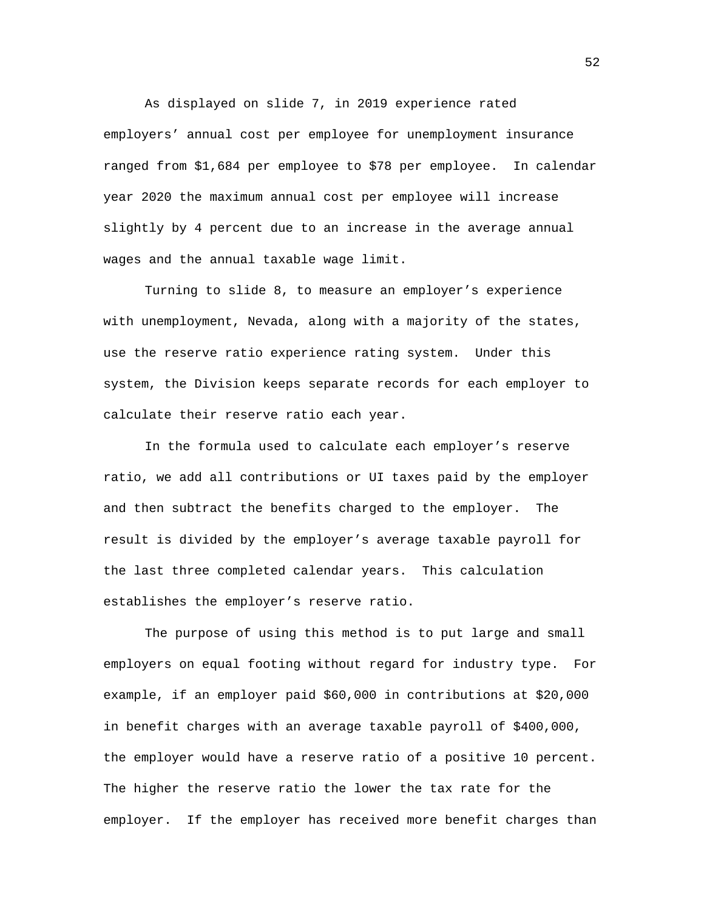As displayed on slide 7, in 2019 experience rated employers' annual cost per employee for unemployment insurance ranged from \$1,684 per employee to \$78 per employee. In calendar year 2020 the maximum annual cost per employee will increase slightly by 4 percent due to an increase in the average annual wages and the annual taxable wage limit.

Turning to slide 8, to measure an employer's experience with unemployment, Nevada, along with a majority of the states, use the reserve ratio experience rating system. Under this system, the Division keeps separate records for each employer to calculate their reserve ratio each year.

In the formula used to calculate each employer's reserve ratio, we add all contributions or UI taxes paid by the employer and then subtract the benefits charged to the employer. The result is divided by the employer's average taxable payroll for the last three completed calendar years. This calculation establishes the employer's reserve ratio.

The purpose of using this method is to put large and small employers on equal footing without regard for industry type. For example, if an employer paid \$60,000 in contributions at \$20,000 in benefit charges with an average taxable payroll of \$400,000, the employer would have a reserve ratio of a positive 10 percent. The higher the reserve ratio the lower the tax rate for the employer. If the employer has received more benefit charges than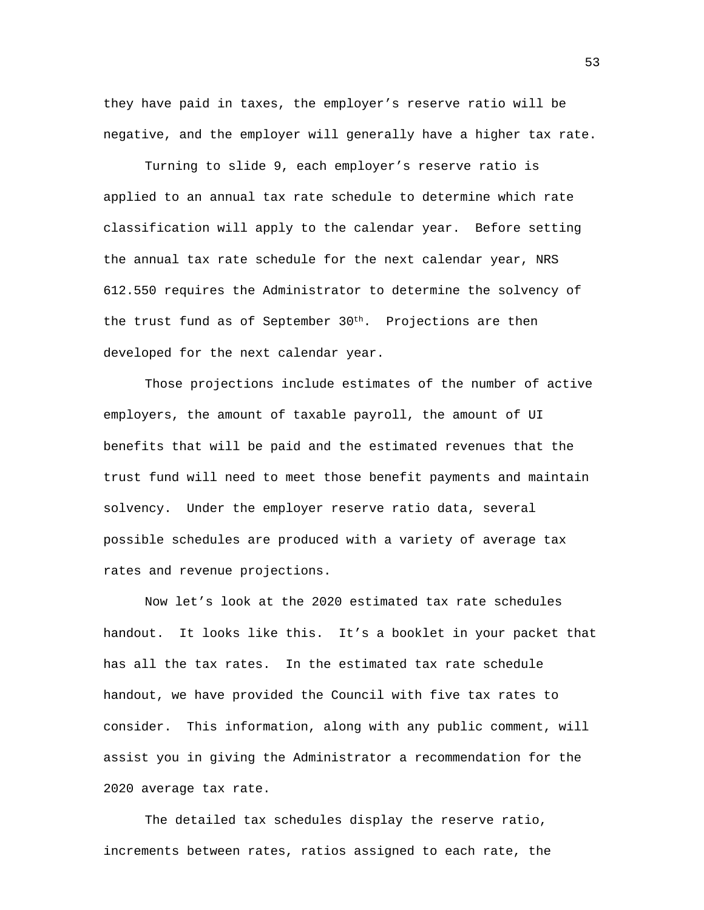they have paid in taxes, the employer's reserve ratio will be negative, and the employer will generally have a higher tax rate.

Turning to slide 9, each employer's reserve ratio is applied to an annual tax rate schedule to determine which rate classification will apply to the calendar year. Before setting the annual tax rate schedule for the next calendar year, NRS 612.550 requires the Administrator to determine the solvency of the trust fund as of September 30<sup>th</sup>. Projections are then developed for the next calendar year.

Those projections include estimates of the number of active employers, the amount of taxable payroll, the amount of UI benefits that will be paid and the estimated revenues that the trust fund will need to meet those benefit payments and maintain solvency. Under the employer reserve ratio data, several possible schedules are produced with a variety of average tax rates and revenue projections.

Now let's look at the 2020 estimated tax rate schedules handout. It looks like this. It's a booklet in your packet that has all the tax rates. In the estimated tax rate schedule handout, we have provided the Council with five tax rates to consider. This information, along with any public comment, will assist you in giving the Administrator a recommendation for the 2020 average tax rate.

The detailed tax schedules display the reserve ratio, increments between rates, ratios assigned to each rate, the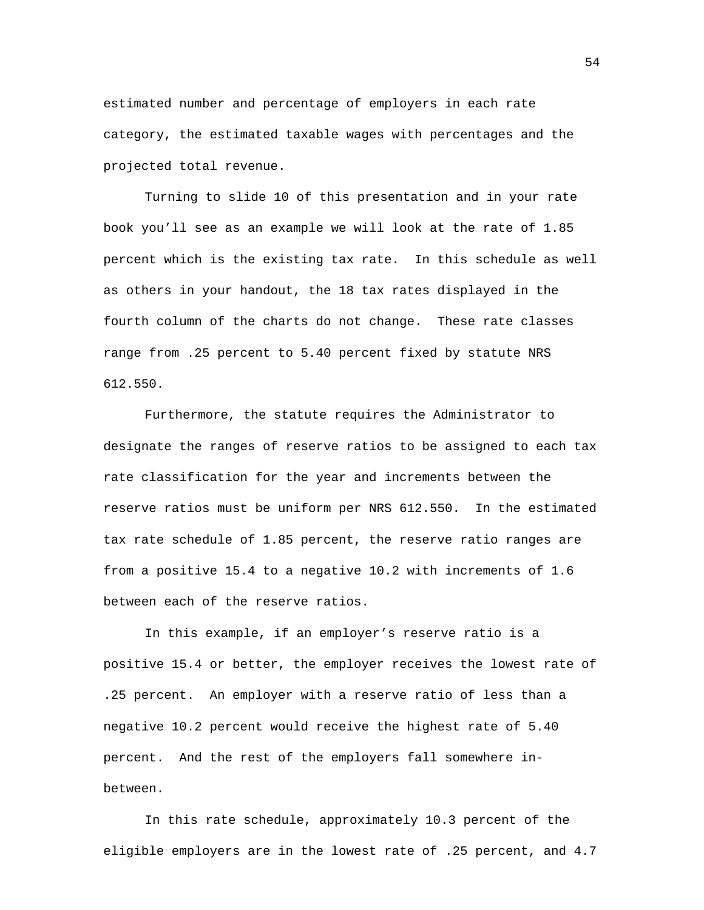estimated number and percentage of employers in each rate category, the estimated taxable wages with percentages and the projected total revenue.

Turning to slide 10 of this presentation and in your rate book you'll see as an example we will look at the rate of 1.85 percent which is the existing tax rate. In this schedule as well as others in your handout, the 18 tax rates displayed in the fourth column of the charts do not change. These rate classes range from .25 percent to 5.40 percent fixed by statute NRS 612.550.

Furthermore, the statute requires the Administrator to designate the ranges of reserve ratios to be assigned to each tax rate classification for the year and increments between the reserve ratios must be uniform per NRS 612.550. In the estimated tax rate schedule of 1.85 percent, the reserve ratio ranges are from a positive 15.4 to a negative 10.2 with increments of 1.6 between each of the reserve ratios.

In this example, if an employer's reserve ratio is a positive 15.4 or better, the employer receives the lowest rate of .25 percent. An employer with a reserve ratio of less than a negative 10.2 percent would receive the highest rate of 5.40 percent. And the rest of the employers fall somewhere inbetween.

In this rate schedule, approximately 10.3 percent of the eligible employers are in the lowest rate of .25 percent, and 4.7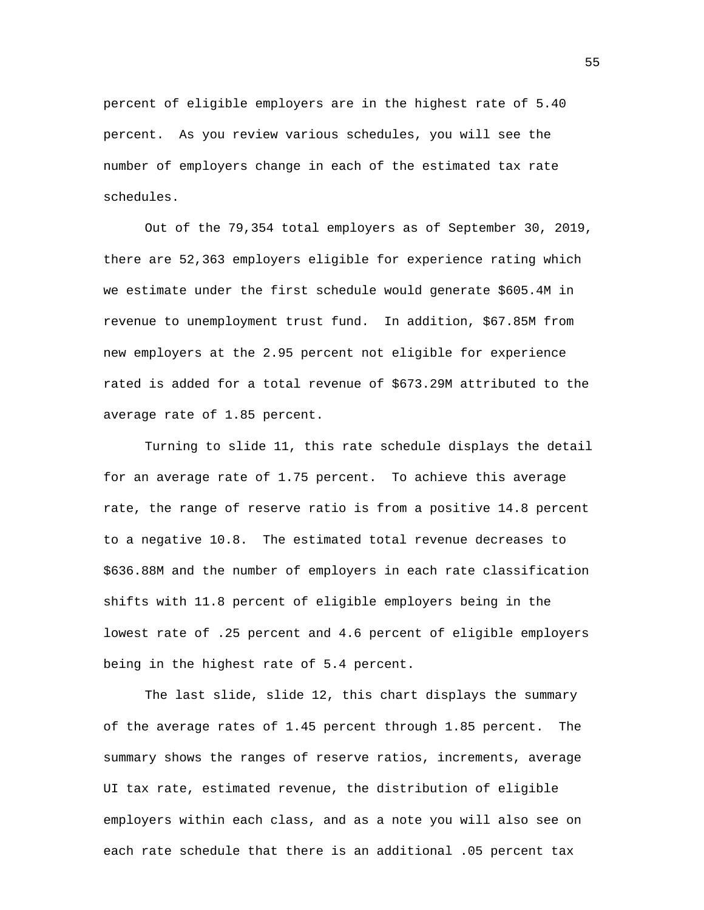percent of eligible employers are in the highest rate of 5.40 percent. As you review various schedules, you will see the number of employers change in each of the estimated tax rate schedules.

Out of the 79,354 total employers as of September 30, 2019, there are 52,363 employers eligible for experience rating which we estimate under the first schedule would generate \$605.4M in revenue to unemployment trust fund. In addition, \$67.85M from new employers at the 2.95 percent not eligible for experience rated is added for a total revenue of \$673.29M attributed to the average rate of 1.85 percent.

Turning to slide 11, this rate schedule displays the detail for an average rate of 1.75 percent. To achieve this average rate, the range of reserve ratio is from a positive 14.8 percent to a negative 10.8. The estimated total revenue decreases to \$636.88M and the number of employers in each rate classification shifts with 11.8 percent of eligible employers being in the lowest rate of .25 percent and 4.6 percent of eligible employers being in the highest rate of 5.4 percent.

The last slide, slide 12, this chart displays the summary of the average rates of 1.45 percent through 1.85 percent. The summary shows the ranges of reserve ratios, increments, average UI tax rate, estimated revenue, the distribution of eligible employers within each class, and as a note you will also see on each rate schedule that there is an additional .05 percent tax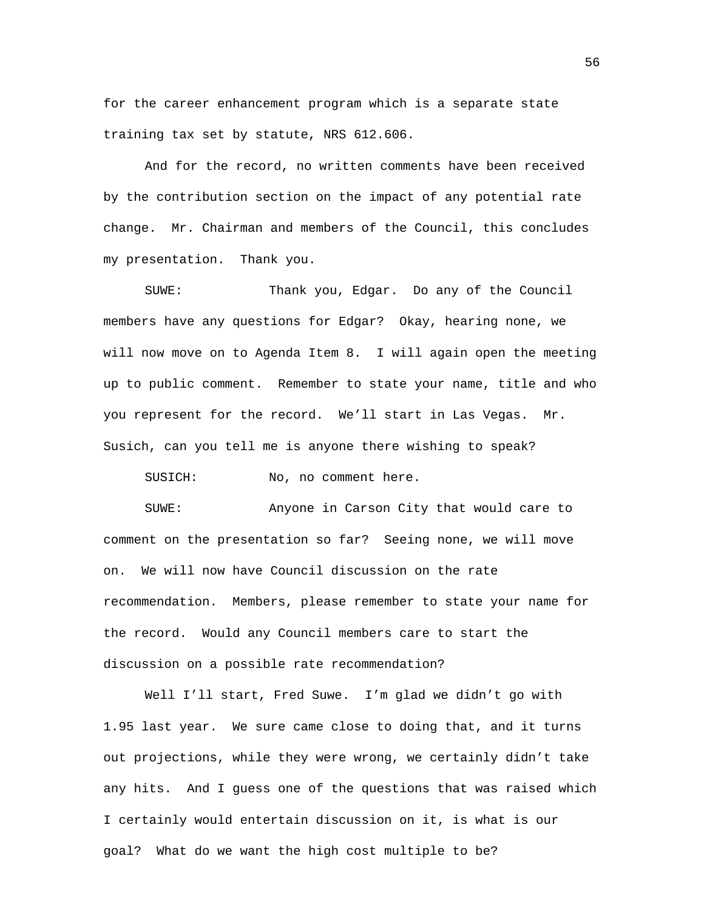for the career enhancement program which is a separate state training tax set by statute, NRS 612.606.

And for the record, no written comments have been received by the contribution section on the impact of any potential rate change. Mr. Chairman and members of the Council, this concludes my presentation. Thank you.

SUWE: Thank you, Edgar. Do any of the Council members have any questions for Edgar? Okay, hearing none, we will now move on to Agenda Item 8. I will again open the meeting up to public comment. Remember to state your name, title and who you represent for the record. We'll start in Las Vegas. Mr. Susich, can you tell me is anyone there wishing to speak?

SUSICH: No, no comment here.

SUWE: Anyone in Carson City that would care to comment on the presentation so far? Seeing none, we will move on. We will now have Council discussion on the rate recommendation. Members, please remember to state your name for the record. Would any Council members care to start the discussion on a possible rate recommendation?

Well I'll start, Fred Suwe. I'm glad we didn't go with 1.95 last year. We sure came close to doing that, and it turns out projections, while they were wrong, we certainly didn't take any hits. And I guess one of the questions that was raised which I certainly would entertain discussion on it, is what is our goal? What do we want the high cost multiple to be?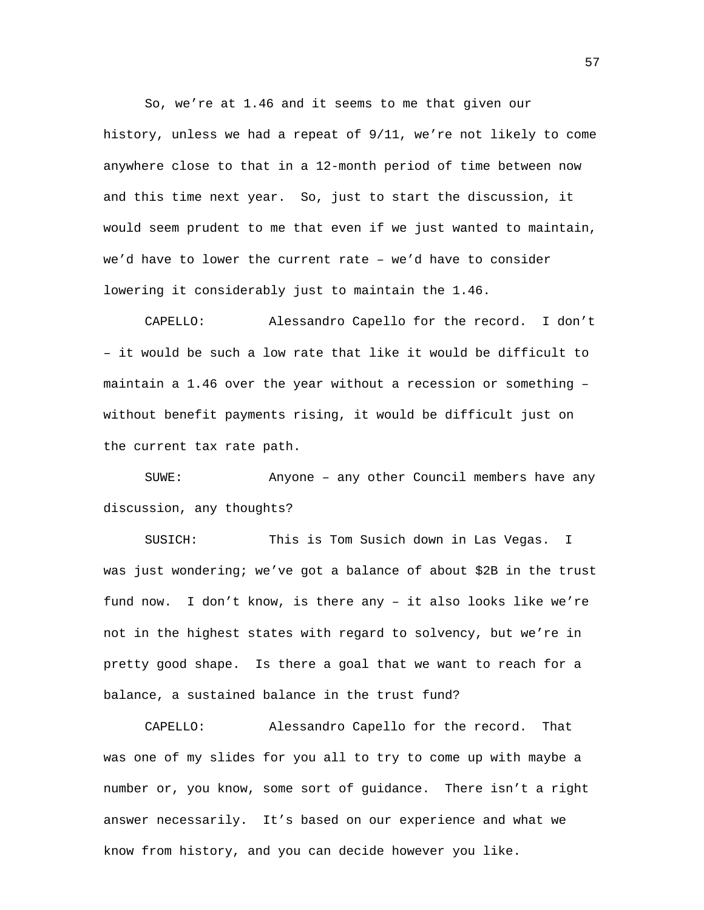So, we're at 1.46 and it seems to me that given our history, unless we had a repeat of 9/11, we're not likely to come anywhere close to that in a 12-month period of time between now and this time next year. So, just to start the discussion, it would seem prudent to me that even if we just wanted to maintain, we'd have to lower the current rate – we'd have to consider lowering it considerably just to maintain the 1.46.

CAPELLO: Alessandro Capello for the record. I don't – it would be such a low rate that like it would be difficult to maintain a 1.46 over the year without a recession or something – without benefit payments rising, it would be difficult just on the current tax rate path.

SUWE: Anyone – any other Council members have any discussion, any thoughts?

SUSICH: This is Tom Susich down in Las Vegas. I was just wondering; we've got a balance of about \$2B in the trust fund now. I don't know, is there any – it also looks like we're not in the highest states with regard to solvency, but we're in pretty good shape. Is there a goal that we want to reach for a balance, a sustained balance in the trust fund?

CAPELLO: Alessandro Capello for the record. That was one of my slides for you all to try to come up with maybe a number or, you know, some sort of guidance. There isn't a right answer necessarily. It's based on our experience and what we know from history, and you can decide however you like.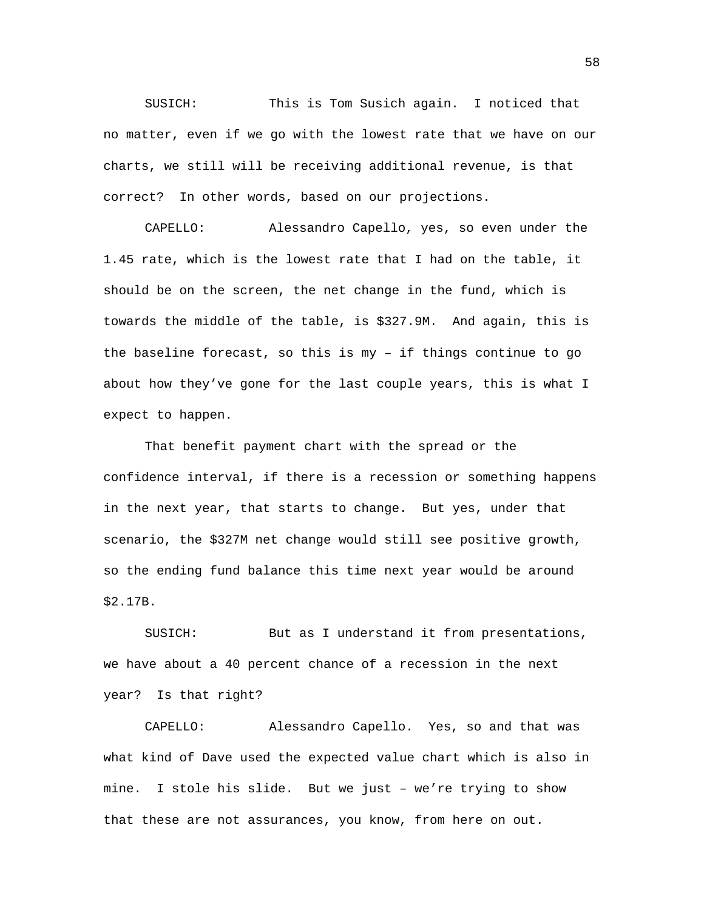SUSICH: This is Tom Susich again. I noticed that no matter, even if we go with the lowest rate that we have on our charts, we still will be receiving additional revenue, is that correct? In other words, based on our projections.

CAPELLO: Alessandro Capello, yes, so even under the 1.45 rate, which is the lowest rate that I had on the table, it should be on the screen, the net change in the fund, which is towards the middle of the table, is \$327.9M. And again, this is the baseline forecast, so this is my – if things continue to go about how they've gone for the last couple years, this is what I expect to happen.

That benefit payment chart with the spread or the confidence interval, if there is a recession or something happens in the next year, that starts to change. But yes, under that scenario, the \$327M net change would still see positive growth, so the ending fund balance this time next year would be around \$2.17B.

SUSICH: But as I understand it from presentations, we have about a 40 percent chance of a recession in the next year? Is that right?

CAPELLO: Alessandro Capello. Yes, so and that was what kind of Dave used the expected value chart which is also in mine. I stole his slide. But we just – we're trying to show that these are not assurances, you know, from here on out.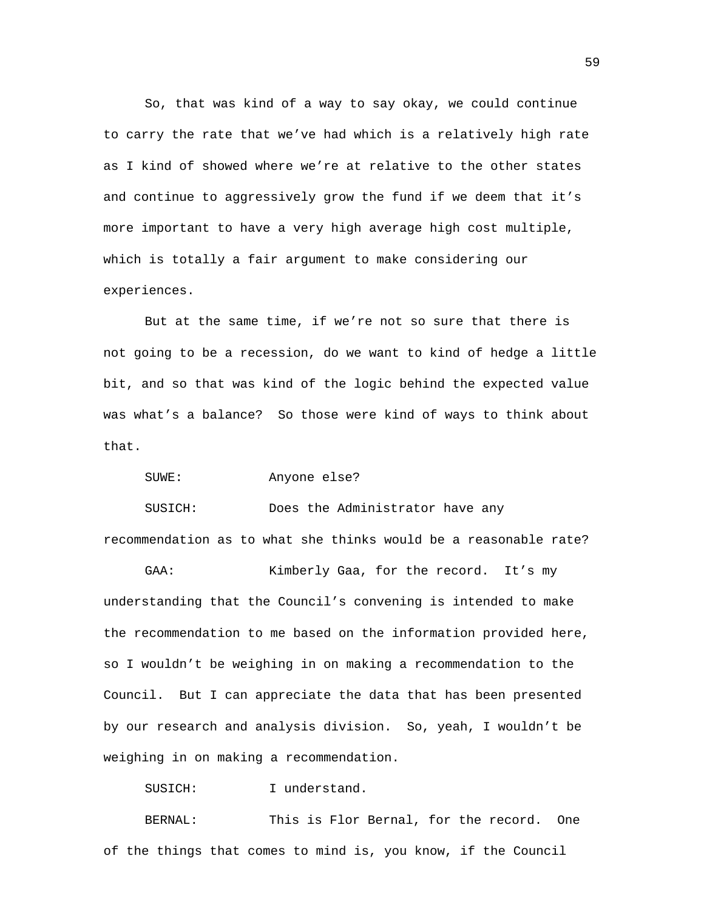So, that was kind of a way to say okay, we could continue to carry the rate that we've had which is a relatively high rate as I kind of showed where we're at relative to the other states and continue to aggressively grow the fund if we deem that it's more important to have a very high average high cost multiple, which is totally a fair argument to make considering our experiences.

But at the same time, if we're not so sure that there is not going to be a recession, do we want to kind of hedge a little bit, and so that was kind of the logic behind the expected value was what's a balance? So those were kind of ways to think about that.

SUWE: Anyone else?

SUSICH: Does the Administrator have any recommendation as to what she thinks would be a reasonable rate?

GAA: Kimberly Gaa, for the record. It's my understanding that the Council's convening is intended to make the recommendation to me based on the information provided here, so I wouldn't be weighing in on making a recommendation to the Council. But I can appreciate the data that has been presented by our research and analysis division. So, yeah, I wouldn't be weighing in on making a recommendation.

SUSICH: I understand.

BERNAL: This is Flor Bernal, for the record. One of the things that comes to mind is, you know, if the Council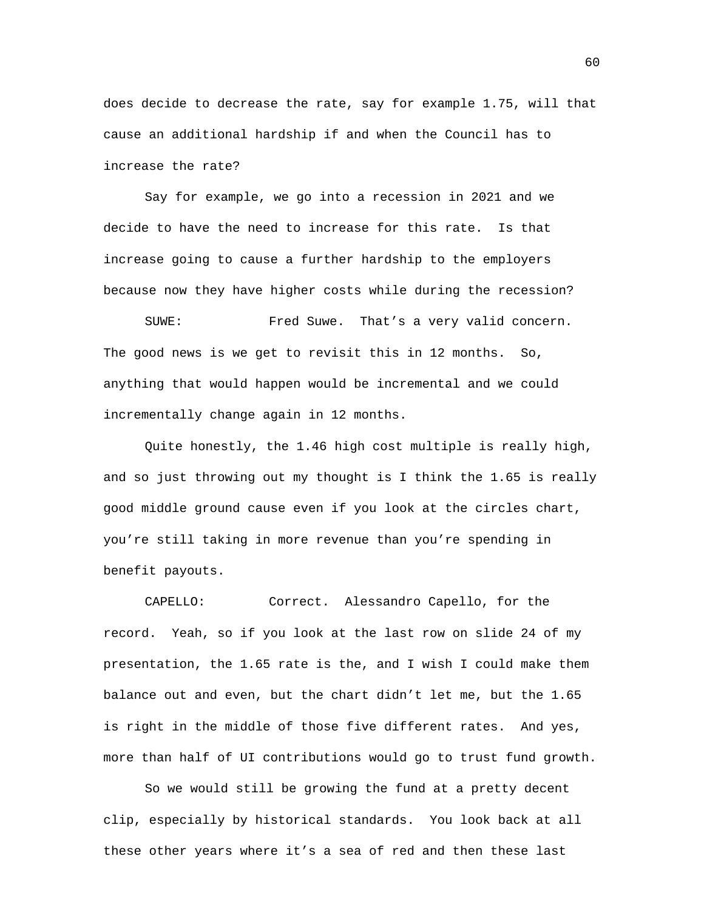does decide to decrease the rate, say for example 1.75, will that cause an additional hardship if and when the Council has to increase the rate?

Say for example, we go into a recession in 2021 and we decide to have the need to increase for this rate. Is that increase going to cause a further hardship to the employers because now they have higher costs while during the recession?

SUWE: Fred Suwe. That's a very valid concern. The good news is we get to revisit this in 12 months. So, anything that would happen would be incremental and we could incrementally change again in 12 months.

Quite honestly, the 1.46 high cost multiple is really high, and so just throwing out my thought is I think the 1.65 is really good middle ground cause even if you look at the circles chart, you're still taking in more revenue than you're spending in benefit payouts.

CAPELLO: Correct. Alessandro Capello, for the record. Yeah, so if you look at the last row on slide 24 of my presentation, the 1.65 rate is the, and I wish I could make them balance out and even, but the chart didn't let me, but the 1.65 is right in the middle of those five different rates. And yes, more than half of UI contributions would go to trust fund growth.

So we would still be growing the fund at a pretty decent clip, especially by historical standards. You look back at all these other years where it's a sea of red and then these last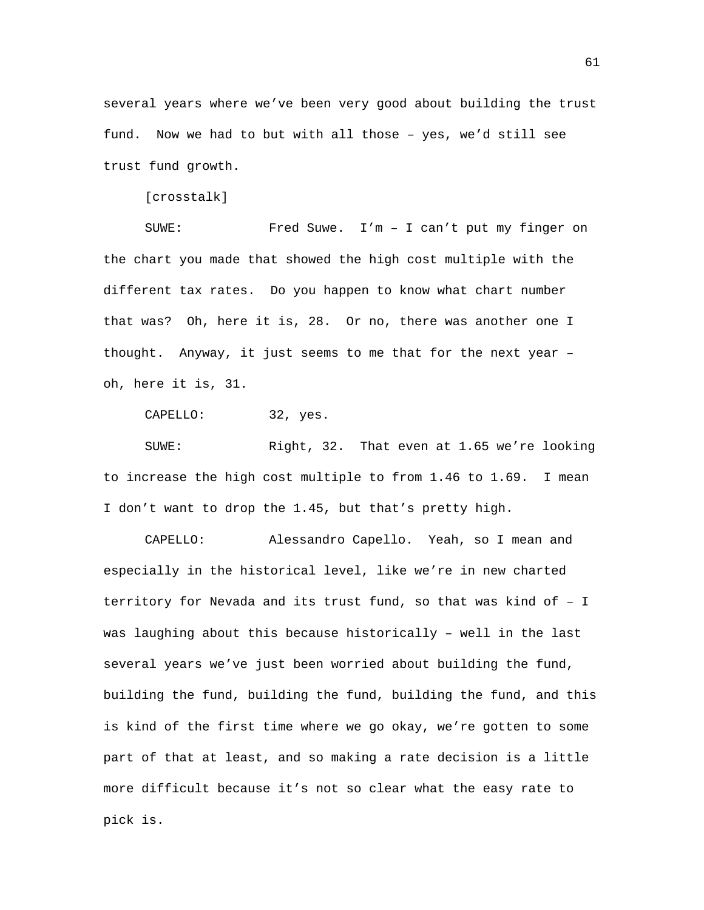several years where we've been very good about building the trust fund. Now we had to but with all those – yes, we'd still see trust fund growth.

[crosstalk]

SUWE: Fred Suwe. I'm – I can't put my finger on the chart you made that showed the high cost multiple with the different tax rates. Do you happen to know what chart number that was? Oh, here it is, 28. Or no, there was another one I thought. Anyway, it just seems to me that for the next year – oh, here it is, 31.

CAPELLO: 32, yes.

SUWE: Right, 32. That even at 1.65 we're looking to increase the high cost multiple to from 1.46 to 1.69. I mean I don't want to drop the 1.45, but that's pretty high.

CAPELLO: Alessandro Capello. Yeah, so I mean and especially in the historical level, like we're in new charted territory for Nevada and its trust fund, so that was kind of – I was laughing about this because historically – well in the last several years we've just been worried about building the fund, building the fund, building the fund, building the fund, and this is kind of the first time where we go okay, we're gotten to some part of that at least, and so making a rate decision is a little more difficult because it's not so clear what the easy rate to pick is.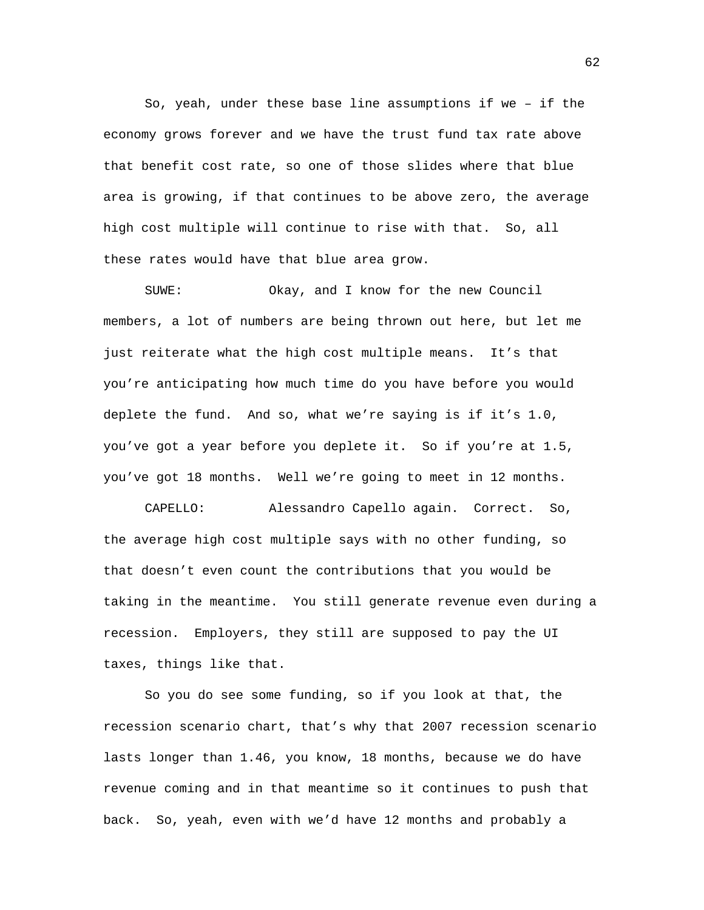So, yeah, under these base line assumptions if we – if the economy grows forever and we have the trust fund tax rate above that benefit cost rate, so one of those slides where that blue area is growing, if that continues to be above zero, the average high cost multiple will continue to rise with that. So, all these rates would have that blue area grow.

SUWE: Okay, and I know for the new Council members, a lot of numbers are being thrown out here, but let me just reiterate what the high cost multiple means. It's that you're anticipating how much time do you have before you would deplete the fund. And so, what we're saying is if it's 1.0, you've got a year before you deplete it. So if you're at 1.5, you've got 18 months. Well we're going to meet in 12 months.

CAPELLO: Alessandro Capello again. Correct. So, the average high cost multiple says with no other funding, so that doesn't even count the contributions that you would be taking in the meantime. You still generate revenue even during a recession. Employers, they still are supposed to pay the UI taxes, things like that.

So you do see some funding, so if you look at that, the recession scenario chart, that's why that 2007 recession scenario lasts longer than 1.46, you know, 18 months, because we do have revenue coming and in that meantime so it continues to push that back. So, yeah, even with we'd have 12 months and probably a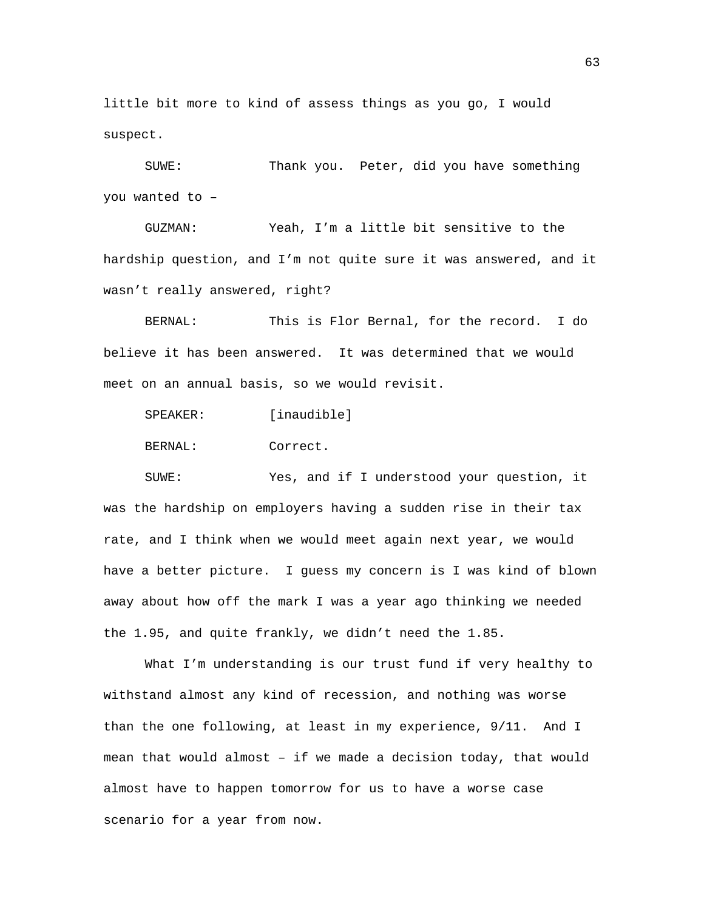little bit more to kind of assess things as you go, I would suspect.

SUWE: Thank you. Peter, did you have something you wanted to –

GUZMAN: Yeah, I'm a little bit sensitive to the hardship question, and I'm not quite sure it was answered, and it wasn't really answered, right?

BERNAL: This is Flor Bernal, for the record. I do believe it has been answered. It was determined that we would meet on an annual basis, so we would revisit.

SPEAKER: [inaudible] BERNAL: Correct.

SUWE: Yes, and if I understood your question, it was the hardship on employers having a sudden rise in their tax rate, and I think when we would meet again next year, we would have a better picture. I guess my concern is I was kind of blown away about how off the mark I was a year ago thinking we needed the 1.95, and quite frankly, we didn't need the 1.85.

What I'm understanding is our trust fund if very healthy to withstand almost any kind of recession, and nothing was worse than the one following, at least in my experience, 9/11. And I mean that would almost – if we made a decision today, that would almost have to happen tomorrow for us to have a worse case scenario for a year from now.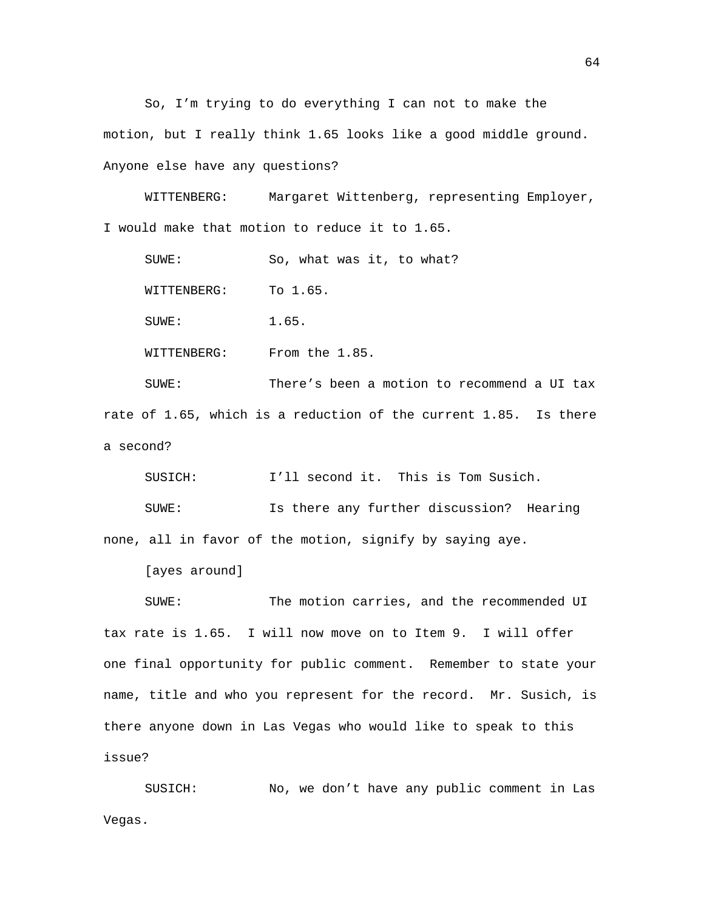So, I'm trying to do everything I can not to make the motion, but I really think 1.65 looks like a good middle ground. Anyone else have any questions?

WITTENBERG: Margaret Wittenberg, representing Employer, I would make that motion to reduce it to 1.65.

SUWE: So, what was it, to what?

WITTENBERG: To 1.65.

SUWE: 1.65.

WITTENBERG: From the 1.85.

SUWE: There's been a motion to recommend a UI tax rate of 1.65, which is a reduction of the current 1.85. Is there a second?

SUSICH: I'll second it. This is Tom Susich.

SUWE: Is there any further discussion? Hearing none, all in favor of the motion, signify by saying aye.

[ayes around]

SUWE: The motion carries, and the recommended UI tax rate is 1.65. I will now move on to Item 9. I will offer one final opportunity for public comment. Remember to state your name, title and who you represent for the record. Mr. Susich, is there anyone down in Las Vegas who would like to speak to this issue?

SUSICH: No, we don't have any public comment in Las Vegas.